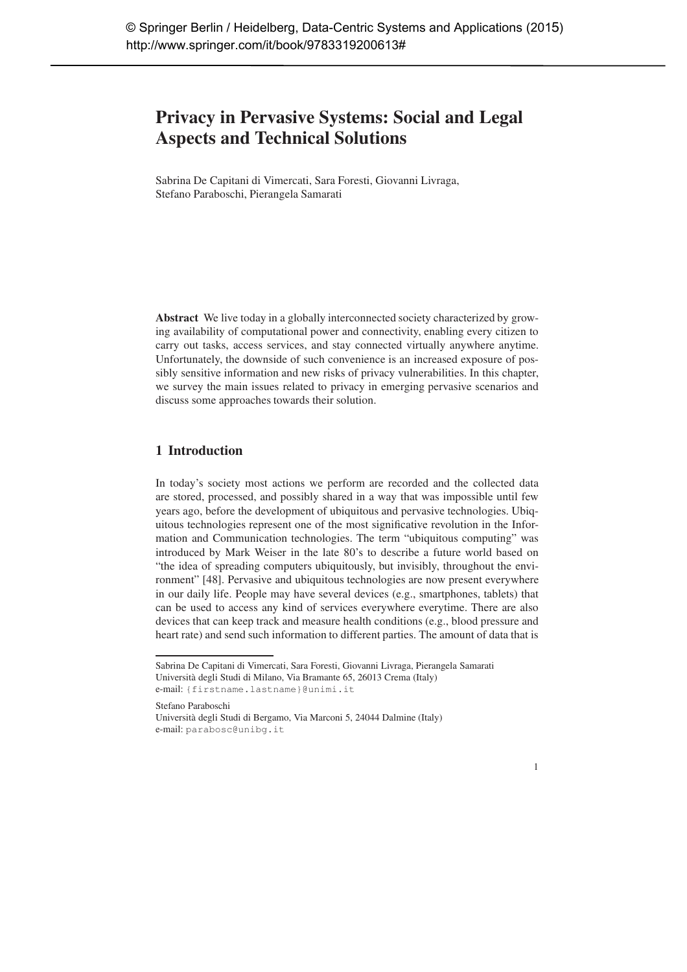Sabrina De Capitani di Vimercati, Sara Foresti, Giovanni Livraga, Stefano Paraboschi, Pierangela Samarati

Abstract We live today in a globally interconnected society characterized by growing availability of computational power and connectivity, enabling every citizen to carry out tasks, access services, and stay connected virtually anywhere anytime. Unfortunately, the downside of such convenience is an increased exposure of possibly sensitive information and new risks of privacy vulnerabilities. In this chapter, we survey the main issues related to privacy in emerging pervasive scenarios and discuss some approaches towards their solution.

# 1 Introduction

In today's society most actions we perform are recorded and the collected data are stored, processed, and possibly shared in a way that was impossible until few years ago, before the development of ubiquitous and pervasive technologies. Ubiquitous technologies represent one of the most significative revolution in the Information and Communication technologies. The term "ubiquitous computing" was introduced by Mark Weiser in the late 80's to describe a future world based on "the idea of spreading computers ubiquitously, but invisibly, throughout the environment" [48]. Pervasive and ubiquitous technologies are now present everywhere in our daily life. People may have several devices (e.g., smartphones, tablets) that can be used to access any kind of services everywhere everytime. There are also devices that can keep track and measure health conditions (e.g., blood pressure and heart rate) and send such information to different parties. The amount of data that is

Stefano Paraboschi Universit`a degli Studi di Bergamo, Via Marconi 5, 24044 Dalmine (Italy) e-mail: parabosc@unibg.it



Sabrina De Capitani di Vimercati, Sara Foresti, Giovanni Livraga, Pierangela Samarati Universit`a degli Studi di Milano, Via Bramante 65, 26013 Crema (Italy) e-mail: {firstname.lastname}@unimi.it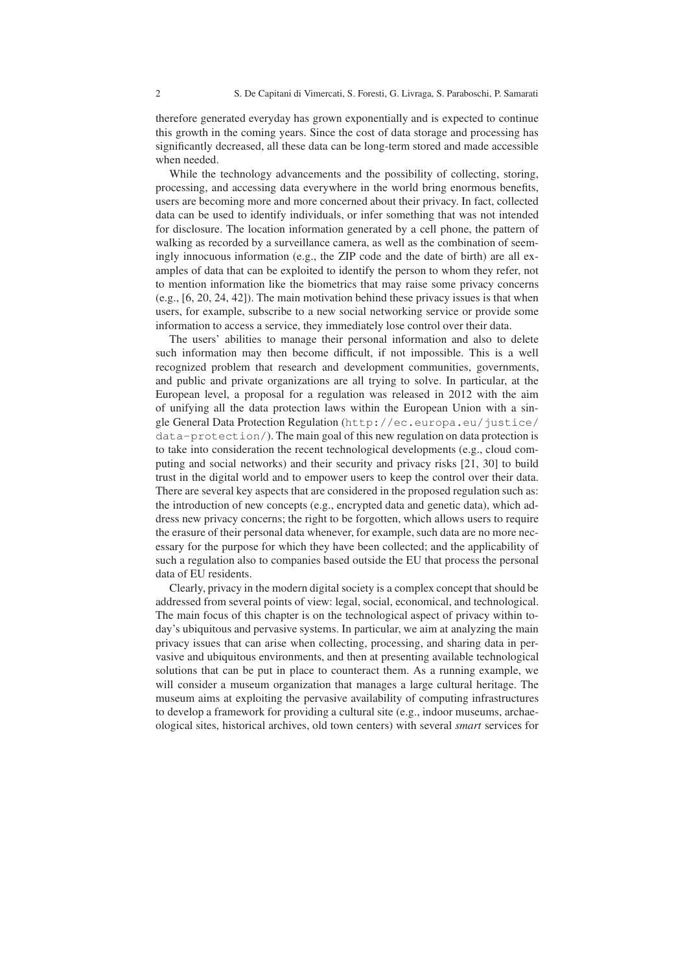therefore generated everyday has grown exponentially and is expected to continue this growth in the coming years. Since the cost of data storage and processing has significantly decreased, all these data can be long-term stored and made accessible when needed.

While the technology advancements and the possibility of collecting, storing, processing, and accessing data everywhere in the world bring enormous benefits, users are becoming more and more concerned about their privacy. In fact, collected data can be used to identify individuals, or infer something that was not intended for disclosure. The location information generated by a cell phone, the pattern of walking as recorded by a surveillance camera, as well as the combination of seemingly innocuous information (e.g., the ZIP code and the date of birth) are all examples of data that can be exploited to identify the person to whom they refer, not to mention information like the biometrics that may raise some privacy concerns (e.g., [6, 20, 24, 42]). The main motivation behind these privacy issues is that when users, for example, subscribe to a new social networking service or provide some information to access a service, they immediately lose control over their data.

The users' abilities to manage their personal information and also to delete such information may then become difficult, if not impossible. This is a well recognized problem that research and development communities, governments, and public and private organizations are all trying to solve. In particular, at the European level, a proposal for a regulation was released in 2012 with the aim of unifying all the data protection laws within the European Union with a single General Data Protection Regulation (http://ec.europa.eu/justice/ data-protection/). The main goal of this new regulation on data protection is to take into consideration the recent technological developments (e.g., cloud computing and social networks) and their security and privacy risks [21, 30] to build trust in the digital world and to empower users to keep the control over their data. There are several key aspects that are considered in the proposed regulation such as: the introduction of new concepts (e.g., encrypted data and genetic data), which address new privacy concerns; the right to be forgotten, which allows users to require the erasure of their personal data whenever, for example, such data are no more necessary for the purpose for which they have been collected; and the applicability of such a regulation also to companies based outside the EU that process the personal data of EU residents.

Clearly, privacy in the modern digital society is a complex concept that should be addressed from several points of view: legal, social, economical, and technological. The main focus of this chapter is on the technological aspect of privacy within today's ubiquitous and pervasive systems. In particular, we aim at analyzing the main privacy issues that can arise when collecting, processing, and sharing data in pervasive and ubiquitous environments, and then at presenting available technological solutions that can be put in place to counteract them. As a running example, we will consider a museum organization that manages a large cultural heritage. The museum aims at exploiting the pervasive availability of computing infrastructures to develop a framework for providing a cultural site (e.g., indoor museums, archaeological sites, historical archives, old town centers) with several *smart* services for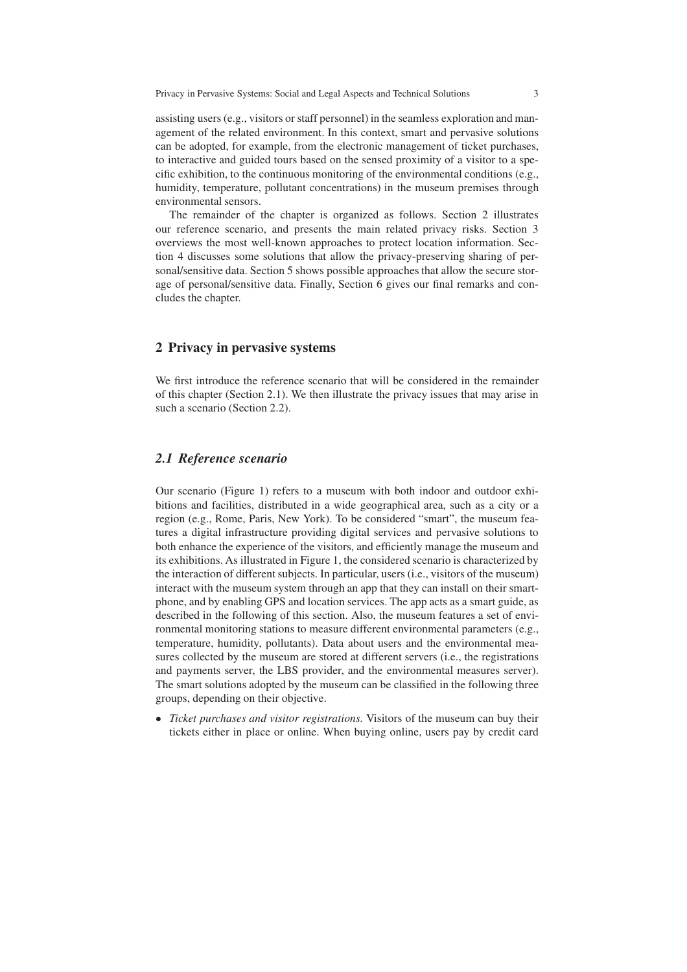assisting users (e.g., visitors or staff personnel) in the seamless exploration and management of the related environment. In this context, smart and pervasive solutions can be adopted, for example, from the electronic management of ticket purchases, to interactive and guided tours based on the sensed proximity of a visitor to a specific exhibition, to the continuous monitoring of the environmental conditions (e.g., humidity, temperature, pollutant concentrations) in the museum premises through environmental sensors.

The remainder of the chapter is organized as follows. Section 2 illustrates our reference scenario, and presents the main related privacy risks. Section 3 overviews the most well-known approaches to protect location information. Section 4 discusses some solutions that allow the privacy-preserving sharing of personal/sensitive data. Section 5 shows possible approaches that allow the secure storage of personal/sensitive data. Finally, Section 6 gives our final remarks and concludes the chapter.

## 2 Privacy in pervasive systems

We first introduce the reference scenario that will be considered in the remainder of this chapter (Section 2.1). We then illustrate the privacy issues that may arise in such a scenario (Section 2.2).

#### *2.1 Reference scenario*

Our scenario (Figure 1) refers to a museum with both indoor and outdoor exhibitions and facilities, distributed in a wide geographical area, such as a city or a region (e.g., Rome, Paris, New York). To be considered "smart", the museum features a digital infrastructure providing digital services and pervasive solutions to both enhance the experience of the visitors, and efficiently manage the museum and its exhibitions. As illustrated in Figure 1, the considered scenario is characterized by the interaction of different subjects. In particular, users (i.e., visitors of the museum) interact with the museum system through an app that they can install on their smartphone, and by enabling GPS and location services. The app acts as a smart guide, as described in the following of this section. Also, the museum features a set of environmental monitoring stations to measure different environmental parameters (e.g., temperature, humidity, pollutants). Data about users and the environmental measures collected by the museum are stored at different servers (i.e., the registrations and payments server, the LBS provider, and the environmental measures server). The smart solutions adopted by the museum can be classified in the following three groups, depending on their objective.

• *Ticket purchases and visitor registrations.* Visitors of the museum can buy their tickets either in place or online. When buying online, users pay by credit card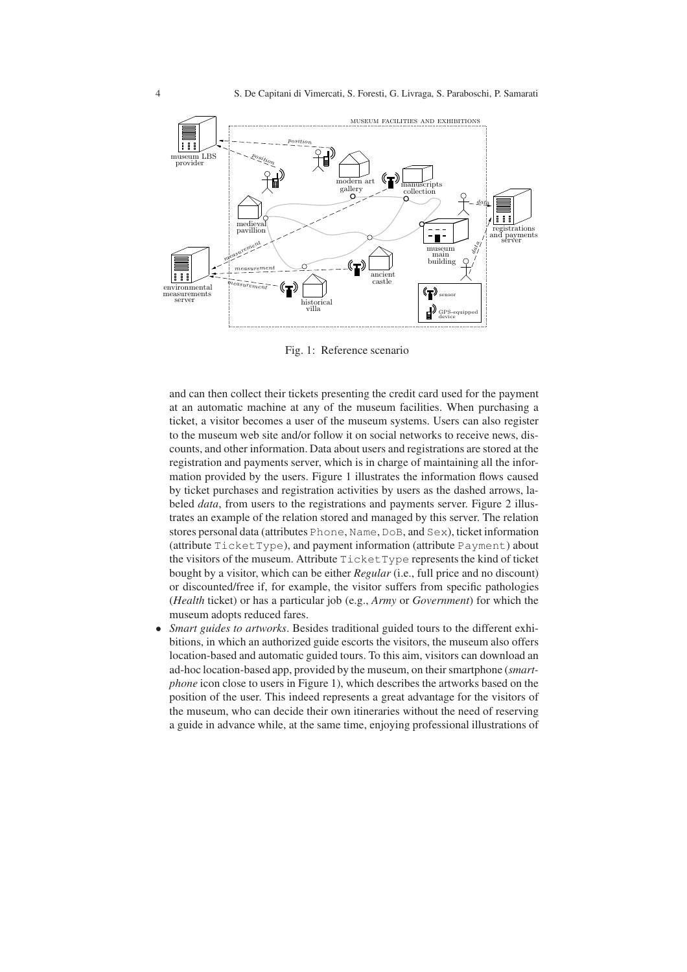

Fig. 1: Reference scenario

and can then collect their tickets presenting the credit card used for the payment at an automatic machine at any of the museum facilities. When purchasing a ticket, a visitor becomes a user of the museum systems. Users can also register to the museum web site and/or follow it on social networks to receive news, discounts, and other information. Data about users and registrations are stored at the registration and payments server, which is in charge of maintaining all the information provided by the users. Figure 1 illustrates the information flows caused by ticket purchases and registration activities by users as the dashed arrows, labeled *data*, from users to the registrations and payments server. Figure 2 illustrates an example of the relation stored and managed by this server. The relation stores personal data (attributes Phone, Name, DoB, and Sex), ticket information (attribute TicketType), and payment information (attribute Payment) about the visitors of the museum. Attribute TicketType represents the kind of ticket bought by a visitor, which can be either *Regular* (i.e., full price and no discount) or discounted/free if, for example, the visitor suffers from specific pathologies (*Health* ticket) or has a particular job (e.g., *Army* or *Government*) for which the museum adopts reduced fares.

• *Smart guides to artworks*. Besides traditional guided tours to the different exhibitions, in which an authorized guide escorts the visitors, the museum also offers location-based and automatic guided tours. To this aim, visitors can download an ad-hoc location-based app, provided by the museum, on their smartphone (*smartphone* icon close to users in Figure 1), which describes the artworks based on the position of the user. This indeed represents a great advantage for the visitors of the museum, who can decide their own itineraries without the need of reserving a guide in advance while, at the same time, enjoying professional illustrations of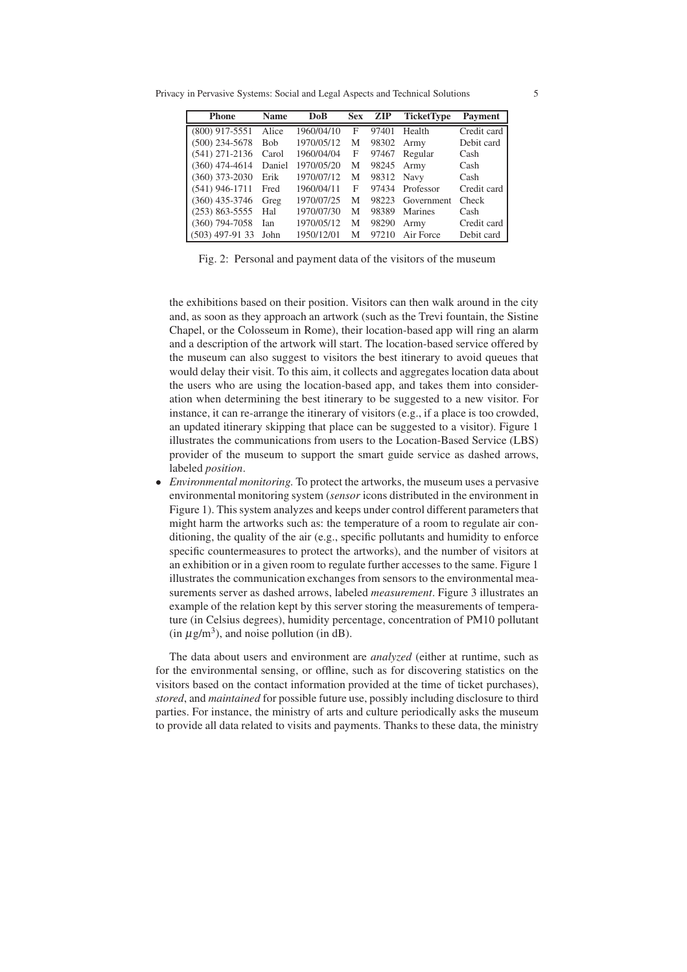Privacy in Pervasive Systems: Social and Legal Aspects and Technical Solutions 5

| <b>Phone</b>         | <b>Name</b> |            | <b>Sex</b> | <b>ZIP</b> | <b>TicketType</b> | Payment     |
|----------------------|-------------|------------|------------|------------|-------------------|-------------|
| $(800)$ 917-5551     | Alice       | 1960/04/10 | F          | 97401      | Health            | Credit card |
| $(500)$ 234-5678     | <b>Bob</b>  | 1970/05/12 | М          | 98302      | Army              | Debit card  |
| $(541)$ 271-2136     | Carol       | 1960/04/04 | F          | 97467      | Regular           | Cash        |
| $(360)$ 474-4614     | Daniel      | 1970/05/20 | М          | 98245      | Army              | Cash        |
| $(360)$ 373-2030     | Erik        | 1970/07/12 | М          | 98312 Navy |                   | Cash        |
| $(541)$ 946-1711     | Fred        | 1960/04/11 | F          | 97434      | Professor         | Credit card |
| $(360)$ 435-3746     | Greg        | 1970/07/25 | М          | 98223      | Government        | Check       |
| $(253)$ 863-5555 Hal |             | 1970/07/30 | М          | 98389      | Marines           | Cash        |
| $(360)$ 794-7058     | Ian         | 1970/05/12 | М          | 98290      | Army              | Credit card |
| $(503)$ 497-91 33    | John        | 1950/12/01 | М          | 97210      | Air Force         | Debit card  |

Fig. 2: Personal and payment data of the visitors of the museum

the exhibitions based on their position. Visitors can then walk around in the city and, as soon as they approach an artwork (such as the Trevi fountain, the Sistine Chapel, or the Colosseum in Rome), their location-based app will ring an alarm and a description of the artwork will start. The location-based service offered by the museum can also suggest to visitors the best itinerary to avoid queues that would delay their visit. To this aim, it collects and aggregates location data about the users who are using the location-based app, and takes them into consideration when determining the best itinerary to be suggested to a new visitor. For instance, it can re-arrange the itinerary of visitors (e.g., if a place is too crowded, an updated itinerary skipping that place can be suggested to a visitor). Figure 1 illustrates the communications from users to the Location-Based Service (LBS) provider of the museum to support the smart guide service as dashed arrows, labeled *position*.

• *Environmental monitoring.* To protect the artworks, the museum uses a pervasive environmental monitoring system (*sensor* icons distributed in the environment in Figure 1). This system analyzes and keeps under control different parameters that might harm the artworks such as: the temperature of a room to regulate air conditioning, the quality of the air (e.g., specific pollutants and humidity to enforce specific countermeasures to protect the artworks), and the number of visitors at an exhibition or in a given room to regulate further accesses to the same. Figure 1 illustrates the communication exchanges from sensors to the environmental measurements server as dashed arrows, labeled *measurement*. Figure 3 illustrates an example of the relation kept by this server storing the measurements of temperature (in Celsius degrees), humidity percentage, concentration of PM10 pollutant  $(in \mu g/m^3)$ , and noise pollution (in dB).

The data about users and environment are *analyzed* (either at runtime, such as for the environmental sensing, or offline, such as for discovering statistics on the visitors based on the contact information provided at the time of ticket purchases), *stored*, and *maintained* for possible future use, possibly including disclosure to third parties. For instance, the ministry of arts and culture periodically asks the museum to provide all data related to visits and payments. Thanks to these data, the ministry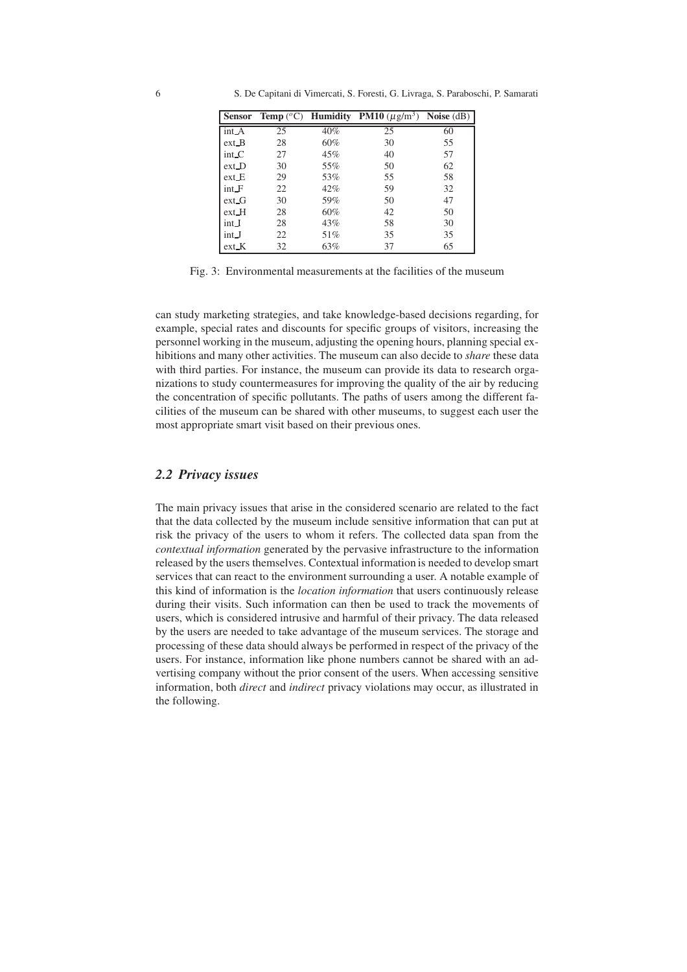| <b>Sensor</b> |    |     | <b>Temp</b> ( <sup>o</sup> C) <b>Humidity PM10</b> ( $\mu$ g/m <sup>3</sup> ) | Noise $(dB)$ |
|---------------|----|-----|-------------------------------------------------------------------------------|--------------|
| int_A         | 25 | 40% | 25                                                                            | 60           |
| $ext_B$       | 28 | 60% | 30                                                                            | 55           |
| $int_C$       | 27 | 45% | 40                                                                            | 57           |
| $ext\_D$      | 30 | 55% | 50                                                                            | 62           |
| $ext_E$       | 29 | 53% | 55                                                                            | 58           |
| int_F         | 22 | 42% | 59                                                                            | 32           |
| $ext_G$       | 30 | 59% | 50                                                                            | 47           |
| ext_H         | 28 | 60% | 42                                                                            | 50           |
| int_I         | 28 | 43% | 58                                                                            | 30           |
| int_J         | 22 | 51% | 35                                                                            | 35           |
| $ext_{K}$     | 32 | 63% | 37                                                                            | 65           |

6 S. De Capitani di Vimercati, S. Foresti, G. Livraga, S. Paraboschi, P. Samarati

Fig. 3: Environmental measurements at the facilities of the museum

can study marketing strategies, and take knowledge-based decisions regarding, for example, special rates and discounts for specific groups of visitors, increasing the personnel working in the museum, adjusting the opening hours, planning special exhibitions and many other activities. The museum can also decide to *share* these data with third parties. For instance, the museum can provide its data to research organizations to study countermeasures for improving the quality of the air by reducing the concentration of specific pollutants. The paths of users among the different facilities of the museum can be shared with other museums, to suggest each user the most appropriate smart visit based on their previous ones.

#### *2.2 Privacy issues*

The main privacy issues that arise in the considered scenario are related to the fact that the data collected by the museum include sensitive information that can put at risk the privacy of the users to whom it refers. The collected data span from the *contextual information* generated by the pervasive infrastructure to the information released by the users themselves. Contextual information is needed to develop smart services that can react to the environment surrounding a user. A notable example of this kind of information is the *location information* that users continuously release during their visits. Such information can then be used to track the movements of users, which is considered intrusive and harmful of their privacy. The data released by the users are needed to take advantage of the museum services. The storage and processing of these data should always be performed in respect of the privacy of the users. For instance, information like phone numbers cannot be shared with an advertising company without the prior consent of the users. When accessing sensitive information, both *direct* and *indirect* privacy violations may occur, as illustrated in the following.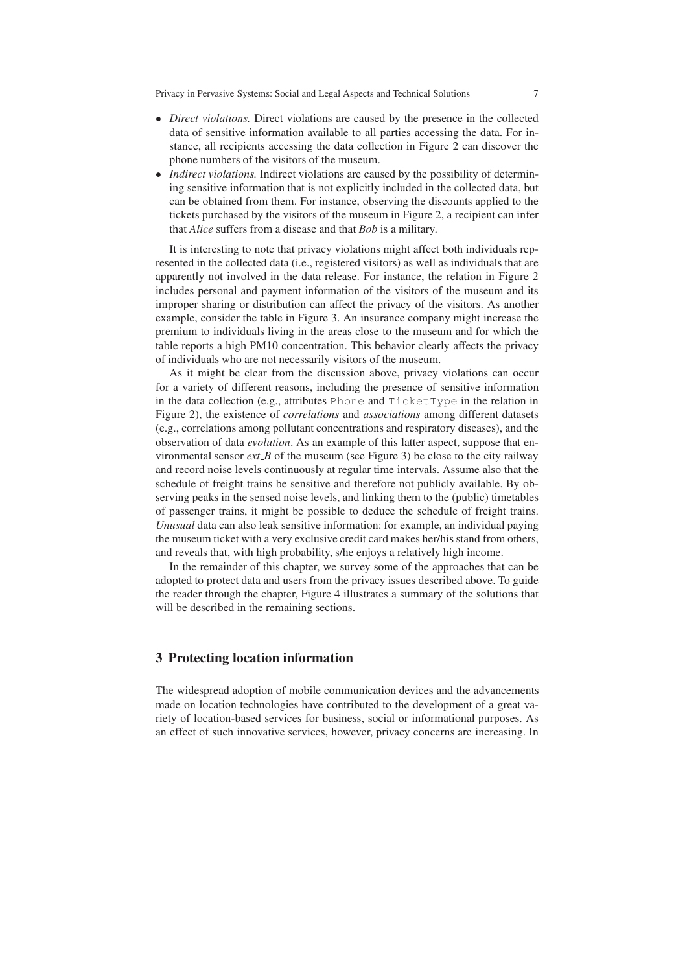- *Direct violations.* Direct violations are caused by the presence in the collected data of sensitive information available to all parties accessing the data. For instance, all recipients accessing the data collection in Figure 2 can discover the phone numbers of the visitors of the museum.
- *Indirect violations.* Indirect violations are caused by the possibility of determining sensitive information that is not explicitly included in the collected data, but can be obtained from them. For instance, observing the discounts applied to the tickets purchased by the visitors of the museum in Figure 2, a recipient can infer that *Alice* suffers from a disease and that *Bob* is a military.

It is interesting to note that privacy violations might affect both individuals represented in the collected data (i.e., registered visitors) as well as individuals that are apparently not involved in the data release. For instance, the relation in Figure 2 includes personal and payment information of the visitors of the museum and its improper sharing or distribution can affect the privacy of the visitors. As another example, consider the table in Figure 3. An insurance company might increase the premium to individuals living in the areas close to the museum and for which the table reports a high PM10 concentration. This behavior clearly affects the privacy of individuals who are not necessarily visitors of the museum.

As it might be clear from the discussion above, privacy violations can occur for a variety of different reasons, including the presence of sensitive information in the data collection (e.g., attributes Phone and TicketType in the relation in Figure 2), the existence of *correlations* and *associations* among different datasets (e.g., correlations among pollutant concentrations and respiratory diseases), and the observation of data *evolution*. As an example of this latter aspect, suppose that environmental sensor  $ext{\textbf{B}}$  of the museum (see Figure 3) be close to the city railway and record noise levels continuously at regular time intervals. Assume also that the schedule of freight trains be sensitive and therefore not publicly available. By observing peaks in the sensed noise levels, and linking them to the (public) timetables of passenger trains, it might be possible to deduce the schedule of freight trains. *Unusual* data can also leak sensitive information: for example, an individual paying the museum ticket with a very exclusive credit card makes her/his stand from others, and reveals that, with high probability, s/he enjoys a relatively high income.

In the remainder of this chapter, we survey some of the approaches that can be adopted to protect data and users from the privacy issues described above. To guide the reader through the chapter, Figure 4 illustrates a summary of the solutions that will be described in the remaining sections.

### 3 Protecting location information

The widespread adoption of mobile communication devices and the advancements made on location technologies have contributed to the development of a great variety of location-based services for business, social or informational purposes. As an effect of such innovative services, however, privacy concerns are increasing. In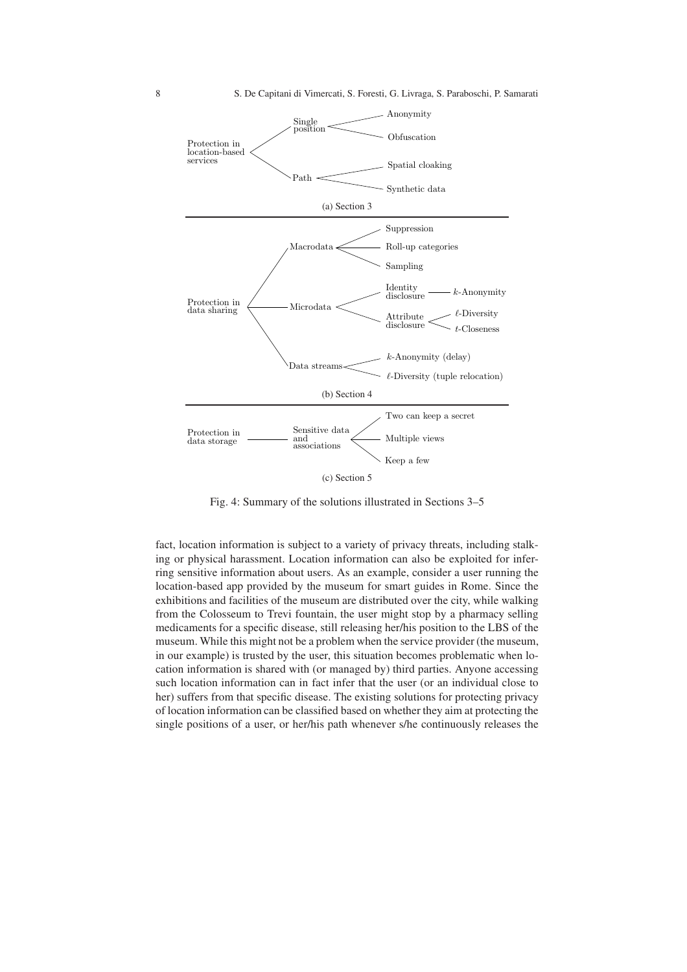

Fig. 4: Summary of the solutions illustrated in Sections 3–5

fact, location information is subject to a variety of privacy threats, including stalking or physical harassment. Location information can also be exploited for inferring sensitive information about users. As an example, consider a user running the location-based app provided by the museum for smart guides in Rome. Since the exhibitions and facilities of the museum are distributed over the city, while walking from the Colosseum to Trevi fountain, the user might stop by a pharmacy selling medicaments for a specific disease, still releasing her/his position to the LBS of the museum. While this might not be a problem when the service provider (the museum, in our example) is trusted by the user, this situation becomes problematic when location information is shared with (or managed by) third parties. Anyone accessing such location information can in fact infer that the user (or an individual close to her) suffers from that specific disease. The existing solutions for protecting privacy of location information can be classified based on whether they aim at protecting the single positions of a user, or her/his path whenever s/he continuously releases the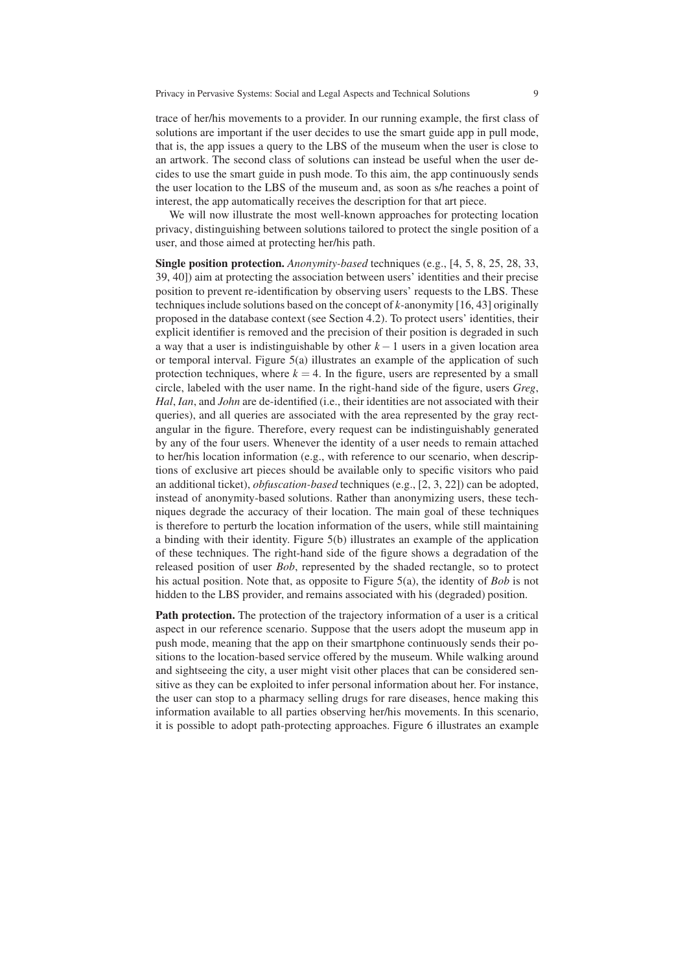trace of her/his movements to a provider. In our running example, the first class of solutions are important if the user decides to use the smart guide app in pull mode, that is, the app issues a query to the LBS of the museum when the user is close to an artwork. The second class of solutions can instead be useful when the user decides to use the smart guide in push mode. To this aim, the app continuously sends the user location to the LBS of the museum and, as soon as s/he reaches a point of interest, the app automatically receives the description for that art piece.

We will now illustrate the most well-known approaches for protecting location privacy, distinguishing between solutions tailored to protect the single position of a user, and those aimed at protecting her/his path.

Single position protection. *Anonymity-based* techniques (e.g., [4, 5, 8, 25, 28, 33, 39, 40]) aim at protecting the association between users' identities and their precise position to prevent re-identification by observing users' requests to the LBS. These techniques include solutions based on the concept of *k*-anonymity [16, 43] originally proposed in the database context (see Section 4.2). To protect users' identities, their explicit identifier is removed and the precision of their position is degraded in such a way that a user is indistinguishable by other  $k - 1$  users in a given location area or temporal interval. Figure 5(a) illustrates an example of the application of such protection techniques, where  $k = 4$ . In the figure, users are represented by a small circle, labeled with the user name. In the right-hand side of the figure, users *Greg*, *Hal*, *Ian*, and *John* are de-identified (i.e., their identities are not associated with their queries), and all queries are associated with the area represented by the gray rectangular in the figure. Therefore, every request can be indistinguishably generated by any of the four users. Whenever the identity of a user needs to remain attached to her/his location information (e.g., with reference to our scenario, when descriptions of exclusive art pieces should be available only to specific visitors who paid an additional ticket), *obfuscation-based* techniques (e.g., [2, 3, 22]) can be adopted, instead of anonymity-based solutions. Rather than anonymizing users, these techniques degrade the accuracy of their location. The main goal of these techniques is therefore to perturb the location information of the users, while still maintaining a binding with their identity. Figure 5(b) illustrates an example of the application of these techniques. The right-hand side of the figure shows a degradation of the released position of user *Bob*, represented by the shaded rectangle, so to protect his actual position. Note that, as opposite to Figure 5(a), the identity of *Bob* is not hidden to the LBS provider, and remains associated with his (degraded) position.

Path protection. The protection of the trajectory information of a user is a critical aspect in our reference scenario. Suppose that the users adopt the museum app in push mode, meaning that the app on their smartphone continuously sends their positions to the location-based service offered by the museum. While walking around and sightseeing the city, a user might visit other places that can be considered sensitive as they can be exploited to infer personal information about her. For instance, the user can stop to a pharmacy selling drugs for rare diseases, hence making this information available to all parties observing her/his movements. In this scenario, it is possible to adopt path-protecting approaches. Figure 6 illustrates an example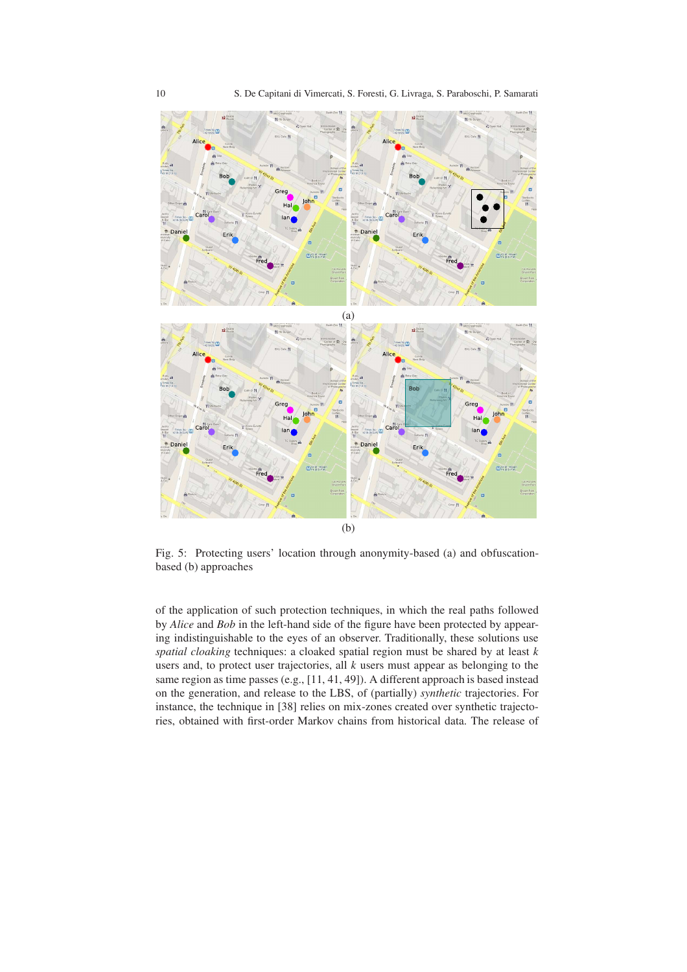

Fig. 5: Protecting users' location through anonymity-based (a) and obfuscationbased (b) approaches

of the application of such protection techniques, in which the real paths followed by *Alice* and *Bob* in the left-hand side of the figure have been protected by appearing indistinguishable to the eyes of an observer. Traditionally, these solutions use *spatial cloaking* techniques: a cloaked spatial region must be shared by at least *k* users and, to protect user trajectories, all *k* users must appear as belonging to the same region as time passes (e.g., [11, 41, 49]). A different approach is based instead on the generation, and release to the LBS, of (partially) *synthetic* trajectories. For instance, the technique in [38] relies on mix-zones created over synthetic trajectories, obtained with first-order Markov chains from historical data. The release of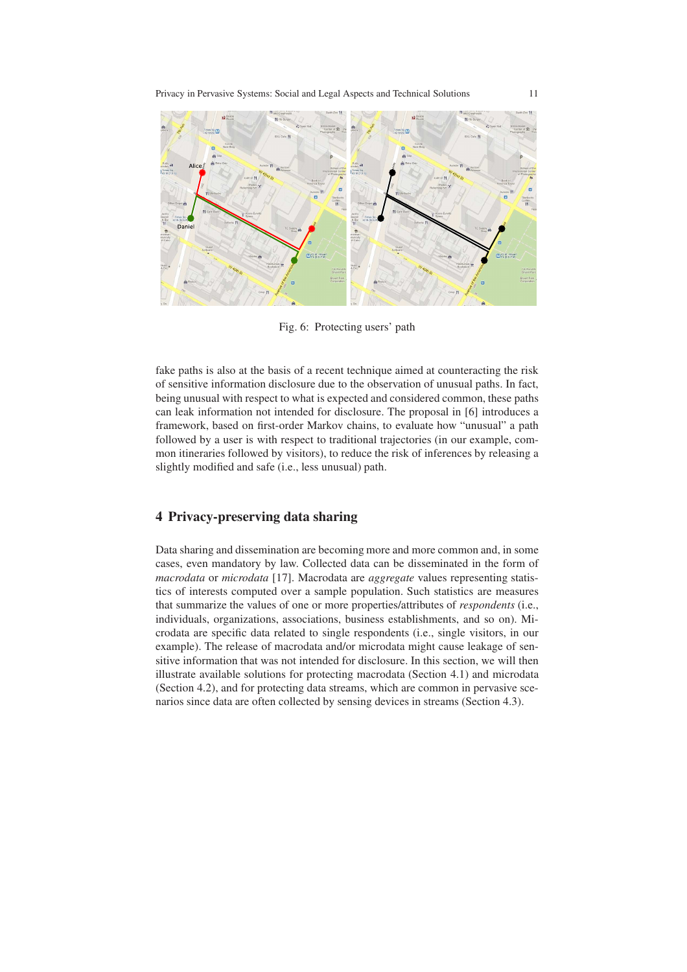

Fig. 6: Protecting users' path

fake paths is also at the basis of a recent technique aimed at counteracting the risk of sensitive information disclosure due to the observation of unusual paths. In fact, being unusual with respect to what is expected and considered common, these paths can leak information not intended for disclosure. The proposal in [6] introduces a framework, based on first-order Markov chains, to evaluate how "unusual" a path followed by a user is with respect to traditional trajectories (in our example, common itineraries followed by visitors), to reduce the risk of inferences by releasing a slightly modified and safe (i.e., less unusual) path.

## 4 Privacy-preserving data sharing

Data sharing and dissemination are becoming more and more common and, in some cases, even mandatory by law. Collected data can be disseminated in the form of *macrodata* or *microdata* [17]. Macrodata are *aggregate* values representing statistics of interests computed over a sample population. Such statistics are measures that summarize the values of one or more properties/attributes of *respondents* (i.e., individuals, organizations, associations, business establishments, and so on). Microdata are specific data related to single respondents (i.e., single visitors, in our example). The release of macrodata and/or microdata might cause leakage of sensitive information that was not intended for disclosure. In this section, we will then illustrate available solutions for protecting macrodata (Section 4.1) and microdata (Section 4.2), and for protecting data streams, which are common in pervasive scenarios since data are often collected by sensing devices in streams (Section 4.3).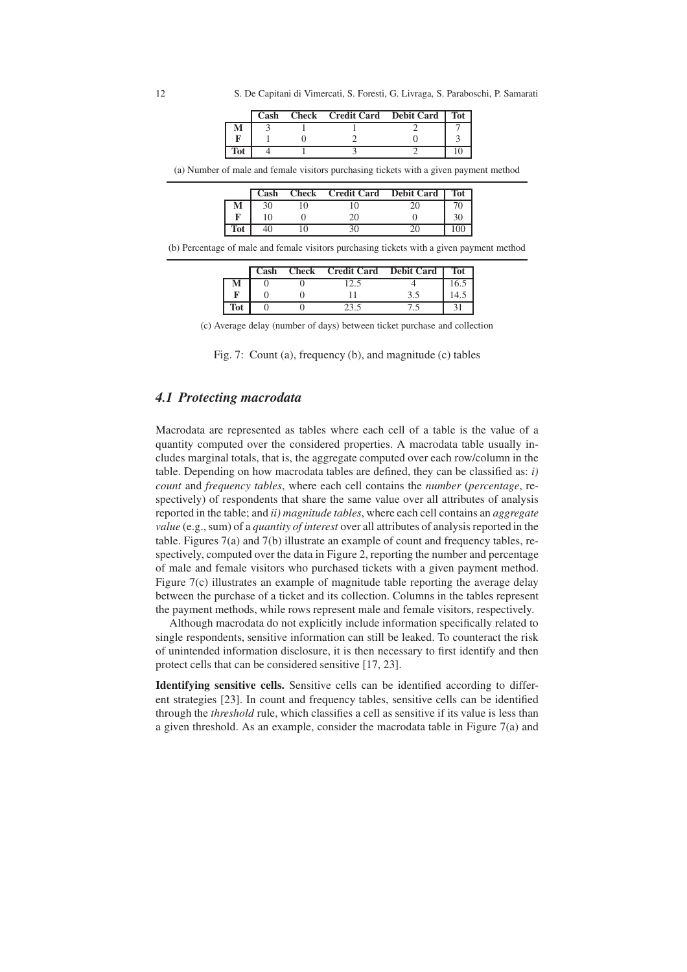12 S. De Capitani di Vimercati, S. Foresti, G. Livraga, S. Paraboschi, P. Samarati

|     | Cash | Check Credit Card Debit Card   Tot |  |
|-----|------|------------------------------------|--|
|     |      |                                    |  |
|     |      |                                    |  |
| Tot |      |                                    |  |

(a) Number of male and female visitors purchasing tickets with a given payment method

|     | Cash | <b>Check</b> |   | <b>Credit Card</b> Debit Card | Tot |
|-----|------|--------------|---|-------------------------------|-----|
| M   |      |              |   |                               |     |
| п   |      |              | " |                               |     |
| Tot |      |              |   |                               |     |

(b) Percentage of male and female visitors purchasing tickets with a given payment method

|     | Cash | Check | Credit Card Debit Card | <b>Tot</b> |
|-----|------|-------|------------------------|------------|
|     |      |       |                        | 16.3       |
|     |      |       |                        |            |
| Гоt |      |       |                        |            |

(c) Average delay (number of days) between ticket purchase and collection

Fig. 7: Count (a), frequency (b), and magnitude (c) tables

## *4.1 Protecting macrodata*

Macrodata are represented as tables where each cell of a table is the value of a quantity computed over the considered properties. A macrodata table usually includes marginal totals, that is, the aggregate computed over each row/column in the table. Depending on how macrodata tables are defined, they can be classified as: *i) count* and *frequency tables*, where each cell contains the *number* (*percentage*, respectively) of respondents that share the same value over all attributes of analysis reported in the table; and *ii) magnitude tables*, where each cell contains an *aggregate value* (e.g., sum) of a *quantity of interest* over all attributes of analysis reported in the table. Figures  $7(a)$  and  $7(b)$  illustrate an example of count and frequency tables, respectively, computed over the data in Figure 2, reporting the number and percentage of male and female visitors who purchased tickets with a given payment method. Figure 7(c) illustrates an example of magnitude table reporting the average delay between the purchase of a ticket and its collection. Columns in the tables represent the payment methods, while rows represent male and female visitors, respectively.

Although macrodata do not explicitly include information specifically related to single respondents, sensitive information can still be leaked. To counteract the risk of unintended information disclosure, it is then necessary to first identify and then protect cells that can be considered sensitive [17, 23].

Identifying sensitive cells. Sensitive cells can be identified according to different strategies [23]. In count and frequency tables, sensitive cells can be identified through the *threshold* rule, which classifies a cell as sensitive if its value is less than a given threshold. As an example, consider the macrodata table in Figure 7(a) and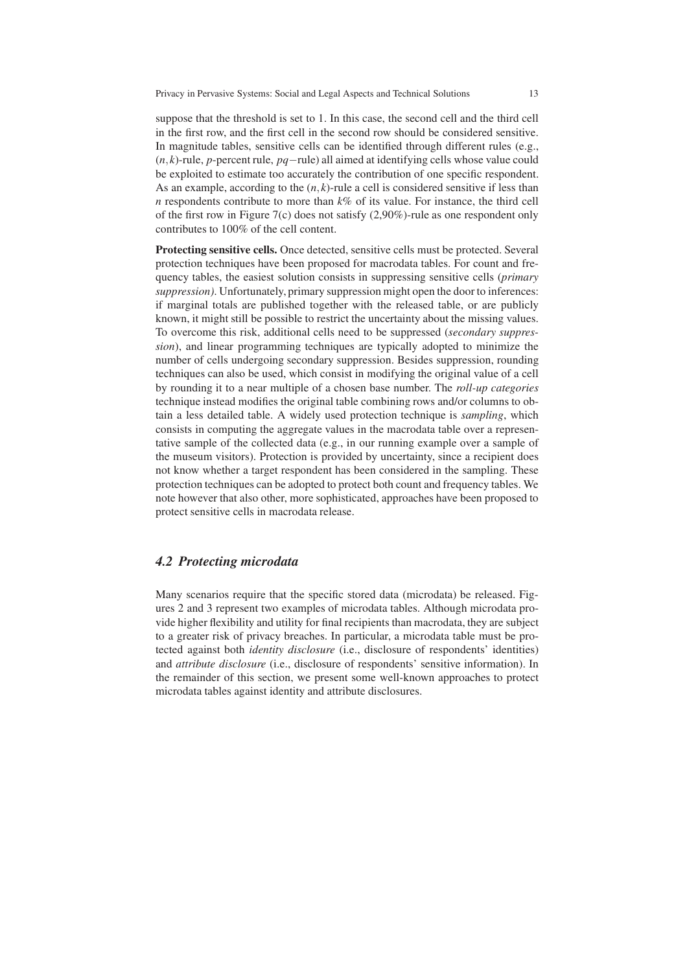suppose that the threshold is set to 1. In this case, the second cell and the third cell in the first row, and the first cell in the second row should be considered sensitive. In magnitude tables, sensitive cells can be identified through different rules (e.g., (*n*,*k*)-rule, *p*-percent rule, *pq*−rule) all aimed at identifying cells whose value could be exploited to estimate too accurately the contribution of one specific respondent. As an example, according to the  $(n, k)$ -rule a cell is considered sensitive if less than *n* respondents contribute to more than *k*% of its value. For instance, the third cell of the first row in Figure 7(c) does not satisfy  $(2.90\%)$ -rule as one respondent only contributes to 100% of the cell content.

Protecting sensitive cells. Once detected, sensitive cells must be protected. Several protection techniques have been proposed for macrodata tables. For count and frequency tables, the easiest solution consists in suppressing sensitive cells (*primary suppression)*. Unfortunately, primary suppression might open the door to inferences: if marginal totals are published together with the released table, or are publicly known, it might still be possible to restrict the uncertainty about the missing values. To overcome this risk, additional cells need to be suppressed (*secondary suppression*), and linear programming techniques are typically adopted to minimize the number of cells undergoing secondary suppression. Besides suppression, rounding techniques can also be used, which consist in modifying the original value of a cell by rounding it to a near multiple of a chosen base number. The *roll-up categories* technique instead modifies the original table combining rows and/or columns to obtain a less detailed table. A widely used protection technique is *sampling*, which consists in computing the aggregate values in the macrodata table over a representative sample of the collected data (e.g., in our running example over a sample of the museum visitors). Protection is provided by uncertainty, since a recipient does not know whether a target respondent has been considered in the sampling. These protection techniques can be adopted to protect both count and frequency tables. We note however that also other, more sophisticated, approaches have been proposed to protect sensitive cells in macrodata release.

## *4.2 Protecting microdata*

Many scenarios require that the specific stored data (microdata) be released. Figures 2 and 3 represent two examples of microdata tables. Although microdata provide higher flexibility and utility for final recipients than macrodata, they are subject to a greater risk of privacy breaches. In particular, a microdata table must be protected against both *identity disclosure* (i.e., disclosure of respondents' identities) and *attribute disclosure* (i.e., disclosure of respondents' sensitive information). In the remainder of this section, we present some well-known approaches to protect microdata tables against identity and attribute disclosures.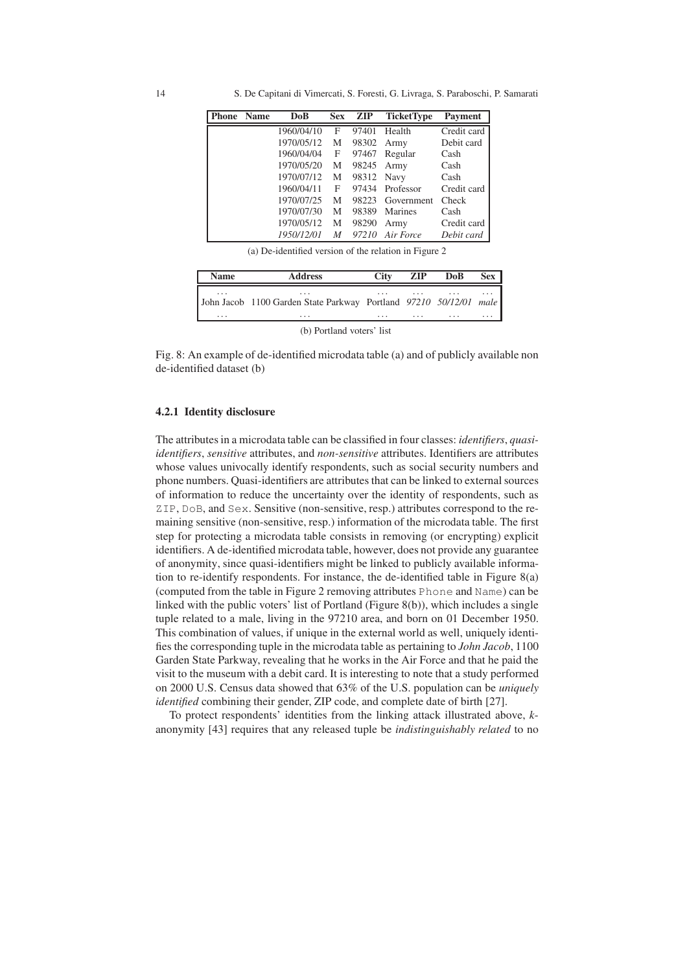| <b>Phone</b> | <b>Name</b> | DoB               | <b>Sex</b> | ZIP        | <b>TicketType</b> | <b>Payment</b> |
|--------------|-------------|-------------------|------------|------------|-------------------|----------------|
|              |             | 1960/04/10        | F          | 97401      | Health            | Credit card    |
|              |             | 1970/05/12        | M          | 98302      | Army              | Debit card     |
|              |             | 1960/04/04        | F          | 97467      | Regular           | Cash           |
|              |             | 1970/05/20        | M          | 98245      | Army              | Cash           |
|              |             | 1970/07/12        | M          | 98312 Navy |                   | Cash           |
|              |             | 1960/04/11        | F          | 97434      | Professor         | Credit card    |
|              |             | 1970/07/25        | M          | 98223      | Government        | Check          |
|              |             | 1970/07/30        | M          | 98389      | <b>Marines</b>    | Cash           |
|              |             | 1970/05/12        | M          | 98290      | Army              | Credit card    |
|              |             | <i>1950/12/01</i> | M          | 97210      | Air Force         | Debit card     |

14 S. De Capitani di Vimercati, S. Foresti, G. Livraga, S. Paraboschi, P. Samarati

(a) De-identified version of the relation in Figure 2

| <b>Name</b> | <b>Address</b>                                                         | <b>City</b> | ZIP | DoB | <b>Sex</b> |
|-------------|------------------------------------------------------------------------|-------------|-----|-----|------------|
| $\cdots$    | .<br>John Jacob 1100 Garden State Parkway Portland 97210 50/12/01 male | $\cdots$    |     |     | .          |
| .           | .                                                                      | .           | .   | .   | .          |
|             | (b) Portland voters' list                                              |             |     |     |            |

Fig. 8: An example of de-identified microdata table (a) and of publicly available non de-identified dataset (b)

#### 4.2.1 Identity disclosure

The attributes in a microdata table can be classified in four classes: *identifiers*, *quasiidentifiers*, *sensitive* attributes, and *non-sensitive* attributes. Identifiers are attributes whose values univocally identify respondents, such as social security numbers and phone numbers. Quasi-identifiers are attributes that can be linked to external sources of information to reduce the uncertainty over the identity of respondents, such as ZIP, DoB, and Sex. Sensitive (non-sensitive, resp.) attributes correspond to the remaining sensitive (non-sensitive, resp.) information of the microdata table. The first step for protecting a microdata table consists in removing (or encrypting) explicit identifiers. A de-identified microdata table, however, does not provide any guarantee of anonymity, since quasi-identifiers might be linked to publicly available information to re-identify respondents. For instance, the de-identified table in Figure 8(a) (computed from the table in Figure 2 removing attributes Phone and Name) can be linked with the public voters' list of Portland (Figure 8(b)), which includes a single tuple related to a male, living in the 97210 area, and born on 01 December 1950. This combination of values, if unique in the external world as well, uniquely identifies the corresponding tuple in the microdata table as pertaining to *John Jacob*, 1100 Garden State Parkway, revealing that he works in the Air Force and that he paid the visit to the museum with a debit card. It is interesting to note that a study performed on 2000 U.S. Census data showed that 63% of the U.S. population can be *uniquely identified* combining their gender, ZIP code, and complete date of birth [27].

To protect respondents' identities from the linking attack illustrated above, *k*anonymity [43] requires that any released tuple be *indistinguishably related* to no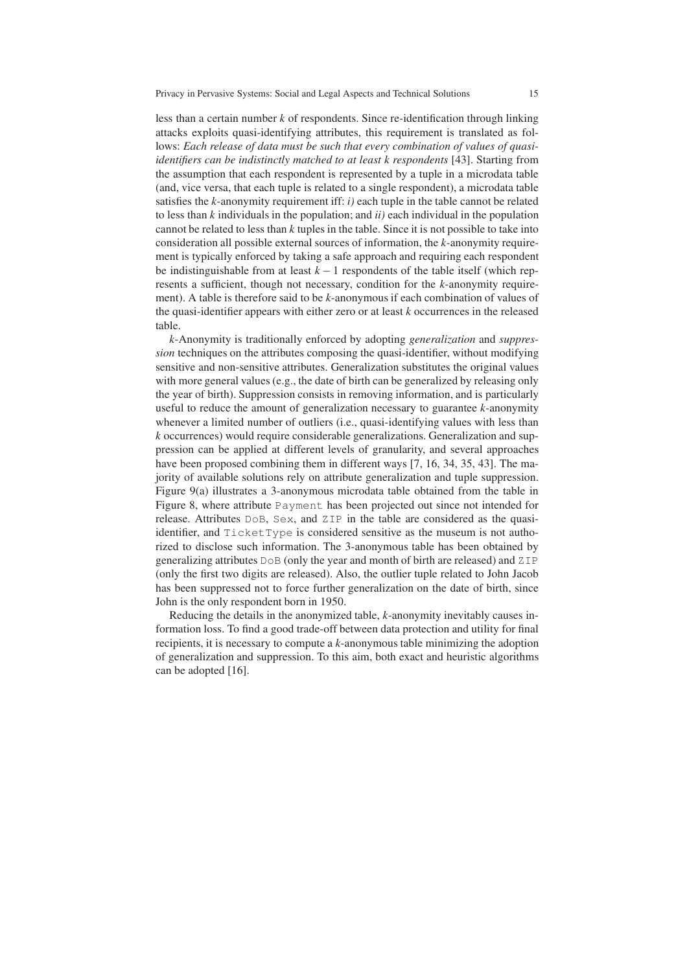less than a certain number *k* of respondents. Since re-identification through linking attacks exploits quasi-identifying attributes, this requirement is translated as follows: *Each release of data must be such that every combination of values of quasiidentifiers can be indistinctly matched to at least k respondents* [43]. Starting from the assumption that each respondent is represented by a tuple in a microdata table (and, vice versa, that each tuple is related to a single respondent), a microdata table satisfies the *k*-anonymity requirement iff: *i)* each tuple in the table cannot be related to less than *k* individuals in the population; and *ii)* each individual in the population cannot be related to less than *k* tuples in the table. Since it is not possible to take into consideration all possible external sources of information, the *k*-anonymity requirement is typically enforced by taking a safe approach and requiring each respondent be indistinguishable from at least  $k - 1$  respondents of the table itself (which represents a sufficient, though not necessary, condition for the *k*-anonymity requirement). A table is therefore said to be *k*-anonymous if each combination of values of the quasi-identifier appears with either zero or at least *k* occurrences in the released table.

*k*-Anonymity is traditionally enforced by adopting *generalization* and *suppression* techniques on the attributes composing the quasi-identifier, without modifying sensitive and non-sensitive attributes. Generalization substitutes the original values with more general values (e.g., the date of birth can be generalized by releasing only the year of birth). Suppression consists in removing information, and is particularly useful to reduce the amount of generalization necessary to guarantee *k*-anonymity whenever a limited number of outliers (i.e., quasi-identifying values with less than *k* occurrences) would require considerable generalizations. Generalization and suppression can be applied at different levels of granularity, and several approaches have been proposed combining them in different ways [7, 16, 34, 35, 43]. The majority of available solutions rely on attribute generalization and tuple suppression. Figure 9(a) illustrates a 3-anonymous microdata table obtained from the table in Figure 8, where attribute Payment has been projected out since not intended for release. Attributes DoB, Sex, and ZIP in the table are considered as the quasiidentifier, and TicketType is considered sensitive as the museum is not authorized to disclose such information. The 3-anonymous table has been obtained by generalizing attributes DoB (only the year and month of birth are released) and ZIP (only the first two digits are released). Also, the outlier tuple related to John Jacob has been suppressed not to force further generalization on the date of birth, since John is the only respondent born in 1950.

Reducing the details in the anonymized table, *k*-anonymity inevitably causes information loss. To find a good trade-off between data protection and utility for final recipients, it is necessary to compute a *k*-anonymous table minimizing the adoption of generalization and suppression. To this aim, both exact and heuristic algorithms can be adopted [16].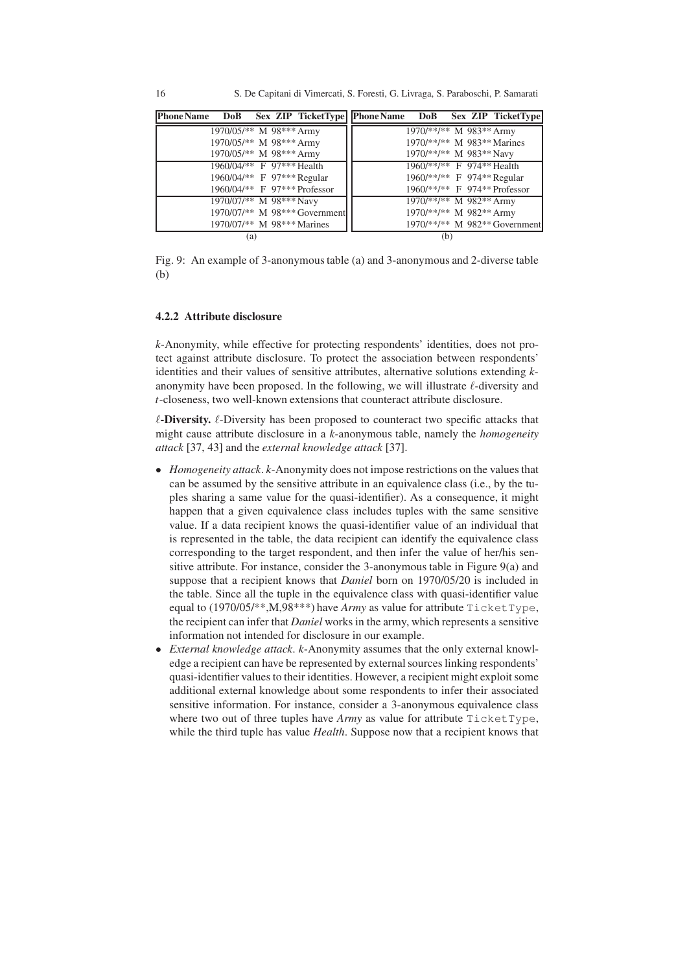| <b>Phone Name</b>             |     |                               | DoB Sex ZIP TicketType Phone Name DoB Sex ZIP TicketType |                              |  |                               |
|-------------------------------|-----|-------------------------------|----------------------------------------------------------|------------------------------|--|-------------------------------|
| $1970/05$ /** M $98$ *** Army |     |                               |                                                          | $1970$ /**/** M 983** Army   |  |                               |
| 1970/05/** M 98*** Army       |     |                               |                                                          | 1970/**/** M 983** Marines   |  |                               |
| 1970/05/** M 98*** Army       |     |                               |                                                          | 1970/**/** M 983** Navy      |  |                               |
| 1960/04/** F 97*** Health     |     |                               |                                                          | $1960$ /**/** F 974** Health |  |                               |
| 1960/04/** F 97*** Regular    |     |                               |                                                          | 1960/**/** F 974** Regular   |  |                               |
| 1960/04/** F 97*** Professor  |     |                               |                                                          | 1960/**/** F 974** Professor |  |                               |
| 1970/07/** M 98*** Navy       |     |                               |                                                          | 1970/**/** M 982** Army      |  |                               |
|                               |     | 1970/07/** M 98*** Government |                                                          | 1970/**/** M 982** Army      |  |                               |
| 1970/07/** M 98*** Marines    |     |                               |                                                          |                              |  | 1970/**/** M 982** Government |
|                               | (a) |                               |                                                          | (b)                          |  |                               |

Fig. 9: An example of 3-anonymous table (a) and 3-anonymous and 2-diverse table (b)

#### 4.2.2 Attribute disclosure

*k*-Anonymity, while effective for protecting respondents' identities, does not protect against attribute disclosure. To protect the association between respondents' identities and their values of sensitive attributes, alternative solutions extending *k*anonymity have been proposed. In the following, we will illustrate  $\ell$ -diversity and *t*-closeness, two well-known extensions that counteract attribute disclosure.

 $\ell$ -Diversity.  $\ell$ -Diversity has been proposed to counteract two specific attacks that might cause attribute disclosure in a *k*-anonymous table, namely the *homogeneity attack* [37, 43] and the *external knowledge attack* [37].

- *Homogeneity attack*. *k*-Anonymity does not impose restrictions on the values that can be assumed by the sensitive attribute in an equivalence class (i.e., by the tuples sharing a same value for the quasi-identifier). As a consequence, it might happen that a given equivalence class includes tuples with the same sensitive value. If a data recipient knows the quasi-identifier value of an individual that is represented in the table, the data recipient can identify the equivalence class corresponding to the target respondent, and then infer the value of her/his sensitive attribute. For instance, consider the 3-anonymous table in Figure 9(a) and suppose that a recipient knows that *Daniel* born on 1970/05/20 is included in the table. Since all the tuple in the equivalence class with quasi-identifier value equal to (1970/05/\*\*,M,98\*\*\*) have *Army* as value for attribute TicketType, the recipient can infer that *Daniel* works in the army, which represents a sensitive information not intended for disclosure in our example.
- *External knowledge attack*. *k*-Anonymity assumes that the only external knowledge a recipient can have be represented by external sources linking respondents' quasi-identifier values to their identities. However, a recipient might exploit some additional external knowledge about some respondents to infer their associated sensitive information. For instance, consider a 3-anonymous equivalence class where two out of three tuples have *Army* as value for attribute TicketType, while the third tuple has value *Health*. Suppose now that a recipient knows that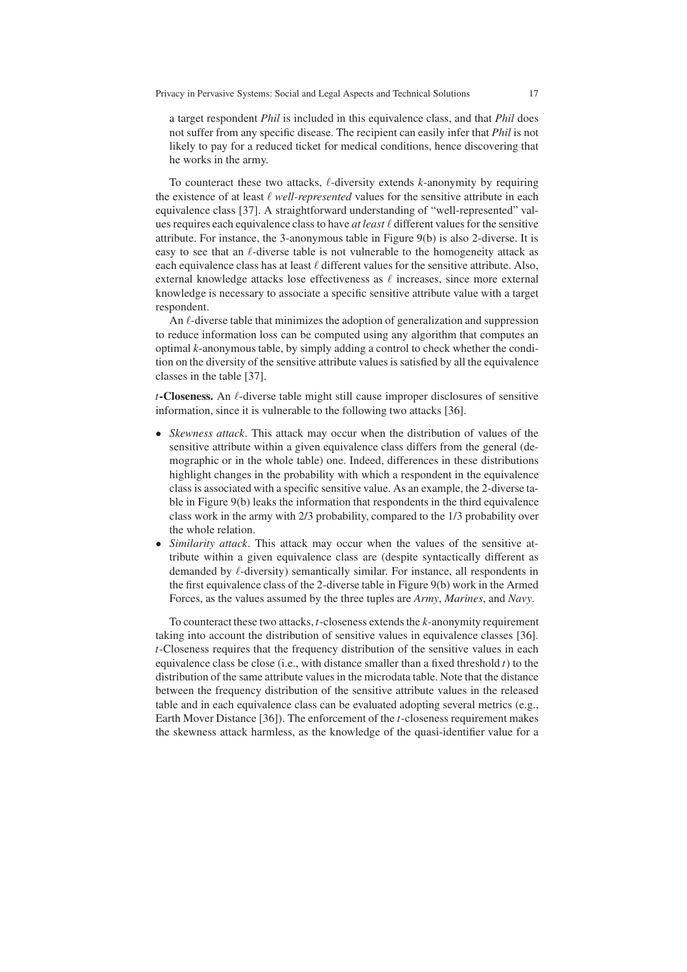a target respondent *Phil* is included in this equivalence class, and that *Phil* does not suffer from any specific disease. The recipient can easily infer that *Phil* is not likely to pay for a reduced ticket for medical conditions, hence discovering that he works in the army.

To counteract these two attacks, ℓ-diversity extends *k*-anonymity by requiring the existence of at least ℓ *well-represented* values for the sensitive attribute in each equivalence class [37]. A straightforward understanding of "well-represented" values requires each equivalence class to have *at least*  $\ell$  different values for the sensitive attribute. For instance, the 3-anonymous table in Figure 9(b) is also 2-diverse. It is easy to see that an  $\ell$ -diverse table is not vulnerable to the homogeneity attack as each equivalence class has at least  $\ell$  different values for the sensitive attribute. Also, external knowledge attacks lose effectiveness as  $\ell$  increases, since more external knowledge is necessary to associate a specific sensitive attribute value with a target respondent.

An  $\ell$ -diverse table that minimizes the adoption of generalization and suppression to reduce information loss can be computed using any algorithm that computes an optimal *k*-anonymous table, by simply adding a control to check whether the condition on the diversity of the sensitive attribute values is satisfied by all the equivalence classes in the table [37].

*t*-Closeness. An ℓ-diverse table might still cause improper disclosures of sensitive information, since it is vulnerable to the following two attacks [36].

- *Skewness attack*. This attack may occur when the distribution of values of the sensitive attribute within a given equivalence class differs from the general (demographic or in the whole table) one. Indeed, differences in these distributions highlight changes in the probability with which a respondent in the equivalence class is associated with a specific sensitive value. As an example, the 2-diverse table in Figure 9(b) leaks the information that respondents in the third equivalence class work in the army with 2/3 probability, compared to the 1/3 probability over the whole relation.
- *Similarity attack*. This attack may occur when the values of the sensitive attribute within a given equivalence class are (despite syntactically different as demanded by  $\ell$ -diversity) semantically similar. For instance, all respondents in the first equivalence class of the 2-diverse table in Figure 9(b) work in the Armed Forces, as the values assumed by the three tuples are *Army*, *Marines*, and *Navy*.

To counteract these two attacks, *t*-closeness extends the *k*-anonymity requirement taking into account the distribution of sensitive values in equivalence classes [36]. *t*-Closeness requires that the frequency distribution of the sensitive values in each equivalence class be close (i.e., with distance smaller than a fixed threshold *t*) to the distribution of the same attribute values in the microdata table. Note that the distance between the frequency distribution of the sensitive attribute values in the released table and in each equivalence class can be evaluated adopting several metrics (e.g., Earth Mover Distance [36]). The enforcement of the *t*-closeness requirement makes the skewness attack harmless, as the knowledge of the quasi-identifier value for a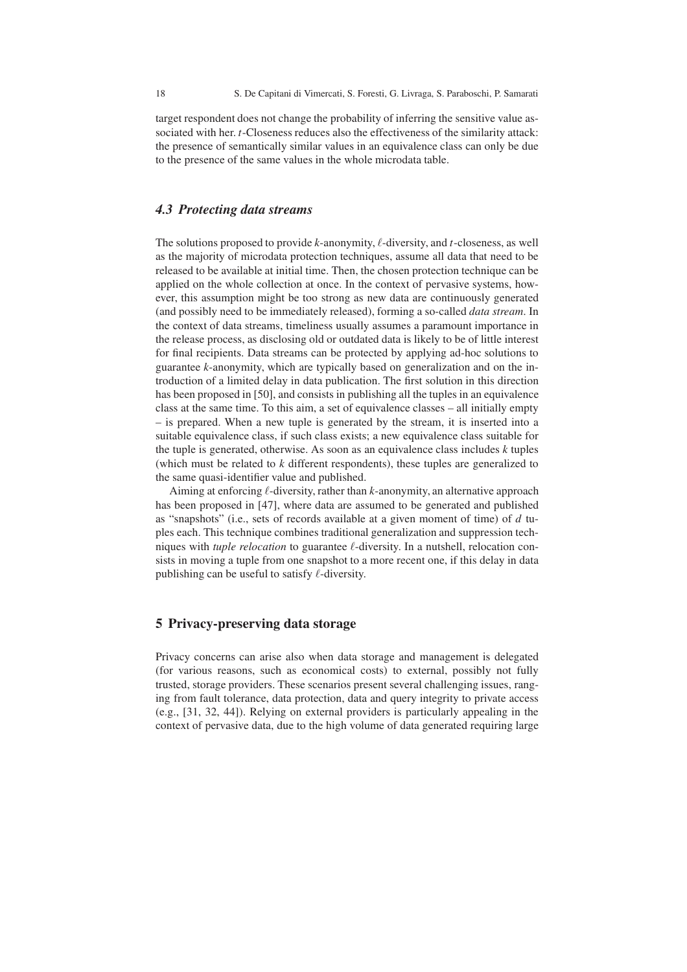target respondent does not change the probability of inferring the sensitive value associated with her. *t*-Closeness reduces also the effectiveness of the similarity attack: the presence of semantically similar values in an equivalence class can only be due to the presence of the same values in the whole microdata table.

## *4.3 Protecting data streams*

The solutions proposed to provide *k*-anonymity, ℓ-diversity, and *t*-closeness, as well as the majority of microdata protection techniques, assume all data that need to be released to be available at initial time. Then, the chosen protection technique can be applied on the whole collection at once. In the context of pervasive systems, however, this assumption might be too strong as new data are continuously generated (and possibly need to be immediately released), forming a so-called *data stream*. In the context of data streams, timeliness usually assumes a paramount importance in the release process, as disclosing old or outdated data is likely to be of little interest for final recipients. Data streams can be protected by applying ad-hoc solutions to guarantee *k*-anonymity, which are typically based on generalization and on the introduction of a limited delay in data publication. The first solution in this direction has been proposed in [50], and consists in publishing all the tuples in an equivalence class at the same time. To this aim, a set of equivalence classes – all initially empty – is prepared. When a new tuple is generated by the stream, it is inserted into a suitable equivalence class, if such class exists; a new equivalence class suitable for the tuple is generated, otherwise. As soon as an equivalence class includes *k* tuples (which must be related to *k* different respondents), these tuples are generalized to the same quasi-identifier value and published.

Aiming at enforcing ℓ-diversity, rather than *k*-anonymity, an alternative approach has been proposed in [47], where data are assumed to be generated and published as "snapshots" (i.e., sets of records available at a given moment of time) of *d* tuples each. This technique combines traditional generalization and suppression techniques with *tuple relocation* to guarantee ℓ-diversity. In a nutshell, relocation consists in moving a tuple from one snapshot to a more recent one, if this delay in data publishing can be useful to satisfy  $\ell$ -diversity.

### 5 Privacy-preserving data storage

Privacy concerns can arise also when data storage and management is delegated (for various reasons, such as economical costs) to external, possibly not fully trusted, storage providers. These scenarios present several challenging issues, ranging from fault tolerance, data protection, data and query integrity to private access (e.g., [31, 32, 44]). Relying on external providers is particularly appealing in the context of pervasive data, due to the high volume of data generated requiring large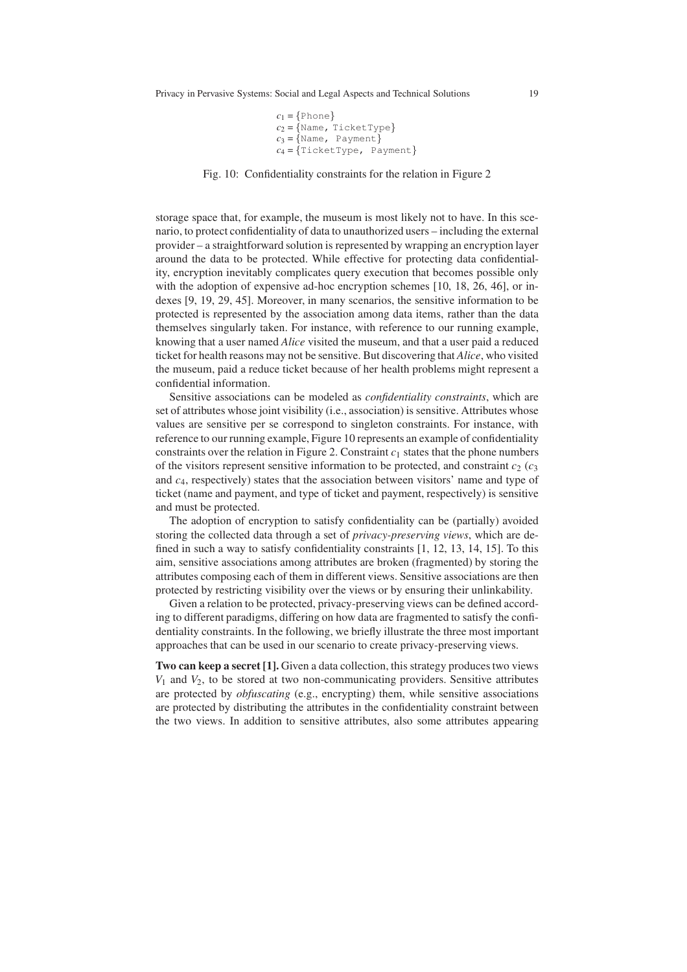$c_1$  = {Phone}  $c_2 = \{$ Name, TicketType $\}$  $c_3 = \{Name, Payment\}$  $c_4 = \{TicketType, Payment\}$ 

Fig. 10: Confidentiality constraints for the relation in Figure 2

storage space that, for example, the museum is most likely not to have. In this scenario, to protect confidentiality of data to unauthorized users – including the external provider – a straightforward solution is represented by wrapping an encryption layer around the data to be protected. While effective for protecting data confidentiality, encryption inevitably complicates query execution that becomes possible only with the adoption of expensive ad-hoc encryption schemes [10, 18, 26, 46], or indexes [9, 19, 29, 45]. Moreover, in many scenarios, the sensitive information to be protected is represented by the association among data items, rather than the data themselves singularly taken. For instance, with reference to our running example, knowing that a user named *Alice* visited the museum, and that a user paid a reduced ticket for health reasons may not be sensitive. But discovering that *Alice*, who visited the museum, paid a reduce ticket because of her health problems might represent a confidential information.

Sensitive associations can be modeled as *confidentiality constraints*, which are set of attributes whose joint visibility (i.e., association) is sensitive. Attributes whose values are sensitive per se correspond to singleton constraints. For instance, with reference to our running example, Figure 10 represents an example of confidentiality constraints over the relation in Figure 2. Constraint  $c_1$  states that the phone numbers of the visitors represent sensitive information to be protected, and constraint  $c_2$  ( $c_3$ ) and *c*4, respectively) states that the association between visitors' name and type of ticket (name and payment, and type of ticket and payment, respectively) is sensitive and must be protected.

The adoption of encryption to satisfy confidentiality can be (partially) avoided storing the collected data through a set of *privacy-preserving views*, which are defined in such a way to satisfy confidentiality constraints [1, 12, 13, 14, 15]. To this aim, sensitive associations among attributes are broken (fragmented) by storing the attributes composing each of them in different views. Sensitive associations are then protected by restricting visibility over the views or by ensuring their unlinkability.

Given a relation to be protected, privacy-preserving views can be defined according to different paradigms, differing on how data are fragmented to satisfy the confidentiality constraints. In the following, we briefly illustrate the three most important approaches that can be used in our scenario to create privacy-preserving views.

Two can keep a secret [1]. Given a data collection, this strategy produces two views  $V_1$  and  $V_2$ , to be stored at two non-communicating providers. Sensitive attributes are protected by *obfuscating* (e.g., encrypting) them, while sensitive associations are protected by distributing the attributes in the confidentiality constraint between the two views. In addition to sensitive attributes, also some attributes appearing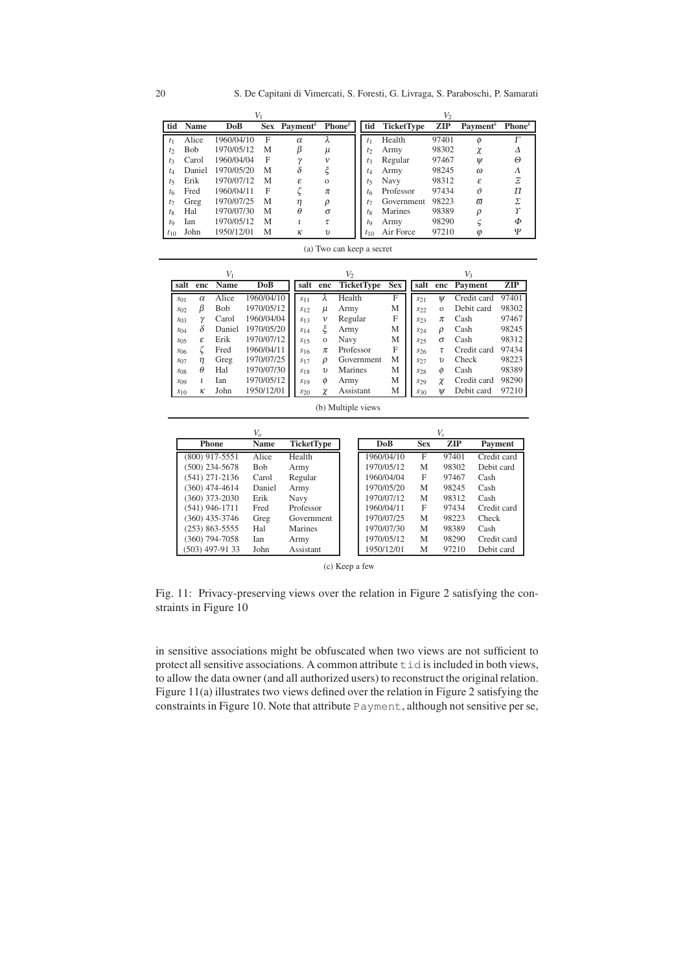20 S. De Capitani di Vimercati, S. Foresti, G. Livraga, S. Paraboschi, P. Samarati

|                |             |            | $V_1$ |                                         |                     |                |                   | V2    |                                   |                       |
|----------------|-------------|------------|-------|-----------------------------------------|---------------------|----------------|-------------------|-------|-----------------------------------|-----------------------|
| tid            | <b>Name</b> | DoB        |       | $Sex$ Payment <sup><math>k</math></sup> | <b>Phone</b> $k$    | tid            | <b>TicketType</b> | ZIP   | Payment <sup><math>k</math></sup> | <b>Phone</b> $\kappa$ |
| t <sub>1</sub> | Alice       | 1960/04/10 | F     | $\alpha$                                |                     | t <sub>1</sub> | Health            | 97401 | $\phi$                            | г                     |
| $t_{2}$        | Bob         | 1970/05/12 | M     | β                                       | μ                   | $t_{2}$        | Army              | 98302 | χ                                 | Л                     |
| $t_{3}$        | Carol       | 1960/04/04 | F     | $\gamma$                                | v                   | $t_3$          | Regular           | 97467 | W                                 | Θ                     |
| t4             | Daniel      | 1970/05/20 | M     | δ                                       |                     | tл             | Army              | 98245 | $\omega$                          | Λ                     |
| $t_{5}$        | Erik        | 1970/07/12 | M     | ε                                       | $\Omega$            | t <sub>5</sub> | Navy              | 98312 | ε                                 | Ξ                     |
| $t_{6}$        | Fred        | 1960/04/11 | F     |                                         | $\pi$               | $t_{6}$        | Professor         | 97434 | $\eta$                            | Π                     |
| tт             | Greg        | 1970/07/25 | M     | n                                       | ρ                   | tэ             | Government        | 98223 | $\varpi$                          | Σ                     |
| $t_{8}$        | Hal         | 1970/07/30 | M     | θ                                       | $\sigma$            | $t_{8}$        | Marines           | 98389 | ρ                                 | Υ                     |
| $t_{\rm Q}$    | Ian         | 1970/05/12 | M     |                                         | τ                   | $t_{\rm Q}$    | Army              | 98290 |                                   | Ф                     |
| $t_{10}$       | John        | 1950/12/01 | M     | ĸ                                       | $\boldsymbol{\eta}$ | $t_{10}$       | Air Force         | 97210 | $\omega$                          | Ψ                     |

(a) Two can keep a secret

|                 | $V_1$    |             | $V_2$      |                 |                                        |            |      | V3              |                     |             |       |  |
|-----------------|----------|-------------|------------|-----------------|----------------------------------------|------------|------|-----------------|---------------------|-------------|-------|--|
| salt            | enc      | <b>Name</b> | DoB        | salt            | <b>TicketType</b><br><b>Sex</b><br>enc |            | salt | enc             | Payment             | ZIP         |       |  |
| $S_{01}$        | $\alpha$ | Alice       | 1960/04/10 | S <sub>11</sub> | λ                                      | Health     | F    | S21             | W                   | Credit card | 97401 |  |
| $S_{02}$        | β        | <b>Bob</b>  | 1970/05/12 | S <sub>12</sub> | $\mu$                                  | Army       | M    | S22             | $\Omega$            | Debit card  | 98302 |  |
| $s_{03}$        | $\gamma$ | Carol       | 1960/04/04 | $s_{13}$        | v                                      | Regular    | F    | $s_{23}$        | π                   | Cash        | 97467 |  |
| S <sub>04</sub> | δ        | Daniel      | 1970/05/20 | S14             | ξ                                      | Army       | M    | S24             | $\rho$              | Cash        | 98245 |  |
| S <sub>05</sub> | ε        | Erik        | 1970/07/12 | S15             | $\mathbf{O}$                           | Navy       | M    | S <sub>25</sub> | $\sigma$            | Cash        | 98312 |  |
| S <sub>06</sub> |          | Fred        | 1960/04/11 | S16             | π                                      | Professor  | F    | S26             | τ                   | Credit card | 97434 |  |
| $S_{07}$        | n        | Greg        | 1970/07/25 | S <sub>17</sub> | ρ                                      | Government | M    | S27             | $\boldsymbol{\eta}$ | Check       | 98223 |  |
| $S_{08}$        | $\theta$ | Hal         | 1970/07/30 | S18             | $\boldsymbol{\eta}$                    | Marines    | М    | S28             | $\phi$              | Cash        | 98389 |  |
| $S_{09}$        | L        | Ian         | 1970/05/12 | S19             | $\phi$                                 | Army       | М    | \$29            | χ                   | Credit card | 98290 |  |
| $s_{10}$        | ĸ        | John        | 1950/12/01 | $s_{20}$        | χ                                      | Assistant  | М    | $s_{30}$        | W                   | Debit card  | 97210 |  |



|                   | $V_{o}$ |                   |            |            | V,         |             |
|-------------------|---------|-------------------|------------|------------|------------|-------------|
| <b>Phone</b>      | Name    | <b>TicketType</b> | <b>DoB</b> | <b>Sex</b> | <b>ZIP</b> | Payment     |
| $(800)$ 917-5551  | Alice   | Health            | 1960/04/10 | F          | 97401      | Credit card |
| $(500)$ 234-5678  | Bob     | Army              | 1970/05/12 | M          | 98302      | Debit card  |
| $(541)$ 271-2136  | Carol   | Regular           | 1960/04/04 | F          | 97467      | Cash        |
| $(360)$ 474-4614  | Daniel  | Army              | 1970/05/20 | M          | 98245      | Cash        |
| $(360)$ 373-2030  | Erik    | Navy              | 1970/07/12 | M          | 98312      | Cash        |
| $(541)$ 946-1711  | Fred    | Professor         | 1960/04/11 | F          | 97434      | Credit card |
| $(360)$ 435-3746  | Greg    | Government        | 1970/07/25 | M          | 98223      | Check       |
| $(253)$ 863-5555  | Hal     | Marines           | 1970/07/30 | M          | 98389      | Cash        |
| $(360)$ 794-7058  | Ian     | Army              | 1970/05/12 | M          | 98290      | Credit card |
| $(503)$ 497-91 33 | John    | Assistant         | 1950/12/01 | М          | 97210      | Debit card  |

(c) Keep a few

Fig. 11: Privacy-preserving views over the relation in Figure 2 satisfying the constraints in Figure 10

in sensitive associations might be obfuscated when two views are not sufficient to protect all sensitive associations. A common attribute  $t$  id is included in both views, to allow the data owner (and all authorized users) to reconstruct the original relation. Figure 11(a) illustrates two views defined over the relation in Figure 2 satisfying the constraints in Figure 10. Note that attribute Payment, although not sensitive per se,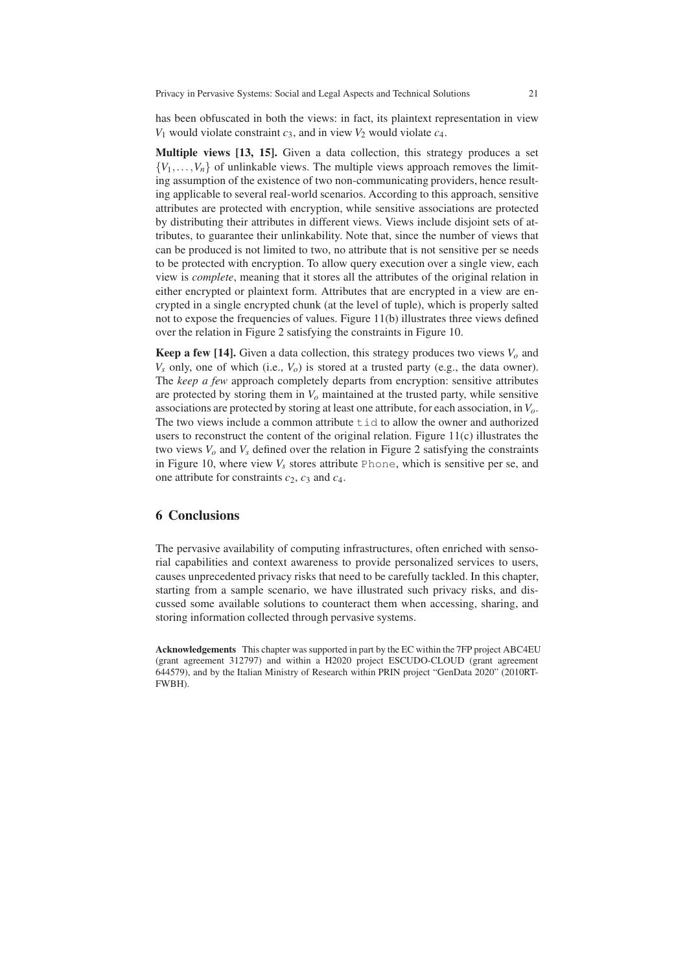has been obfuscated in both the views: in fact, its plaintext representation in view  $V_1$  would violate constraint  $c_3$ , and in view  $V_2$  would violate  $c_4$ .

Multiple views [13, 15]. Given a data collection, this strategy produces a set  ${V_1, \ldots, V_n}$  of unlinkable views. The multiple views approach removes the limiting assumption of the existence of two non-communicating providers, hence resulting applicable to several real-world scenarios. According to this approach, sensitive attributes are protected with encryption, while sensitive associations are protected by distributing their attributes in different views. Views include disjoint sets of attributes, to guarantee their unlinkability. Note that, since the number of views that can be produced is not limited to two, no attribute that is not sensitive per se needs to be protected with encryption. To allow query execution over a single view, each view is *complete*, meaning that it stores all the attributes of the original relation in either encrypted or plaintext form. Attributes that are encrypted in a view are encrypted in a single encrypted chunk (at the level of tuple), which is properly salted not to expose the frequencies of values. Figure 11(b) illustrates three views defined over the relation in Figure 2 satisfying the constraints in Figure 10.

**Keep a few [14].** Given a data collection, this strategy produces two views  $V_0$  and  $V_s$  only, one of which (i.e.,  $V_o$ ) is stored at a trusted party (e.g., the data owner). The *keep a few* approach completely departs from encryption: sensitive attributes are protected by storing them in  $V<sub>o</sub>$  maintained at the trusted party, while sensitive associations are protected by storing at least one attribute, for each association, in*Vo*. The two views include a common attribute  $t$  id to allow the owner and authorized users to reconstruct the content of the original relation. Figure 11(c) illustrates the two views  $V_0$  and  $V_s$  defined over the relation in Figure 2 satisfying the constraints in Figure 10, where view  $V_s$  stores attribute Phone, which is sensitive per se, and one attribute for constraints *c*2, *c*<sup>3</sup> and *c*4.

## 6 Conclusions

The pervasive availability of computing infrastructures, often enriched with sensorial capabilities and context awareness to provide personalized services to users, causes unprecedented privacy risks that need to be carefully tackled. In this chapter, starting from a sample scenario, we have illustrated such privacy risks, and discussed some available solutions to counteract them when accessing, sharing, and storing information collected through pervasive systems.

Acknowledgements This chapter was supported in part by the EC within the 7FP project ABC4EU (grant agreement 312797) and within a H2020 project ESCUDO-CLOUD (grant agreement 644579), and by the Italian Ministry of Research within PRIN project "GenData 2020" (2010RT-FWBH).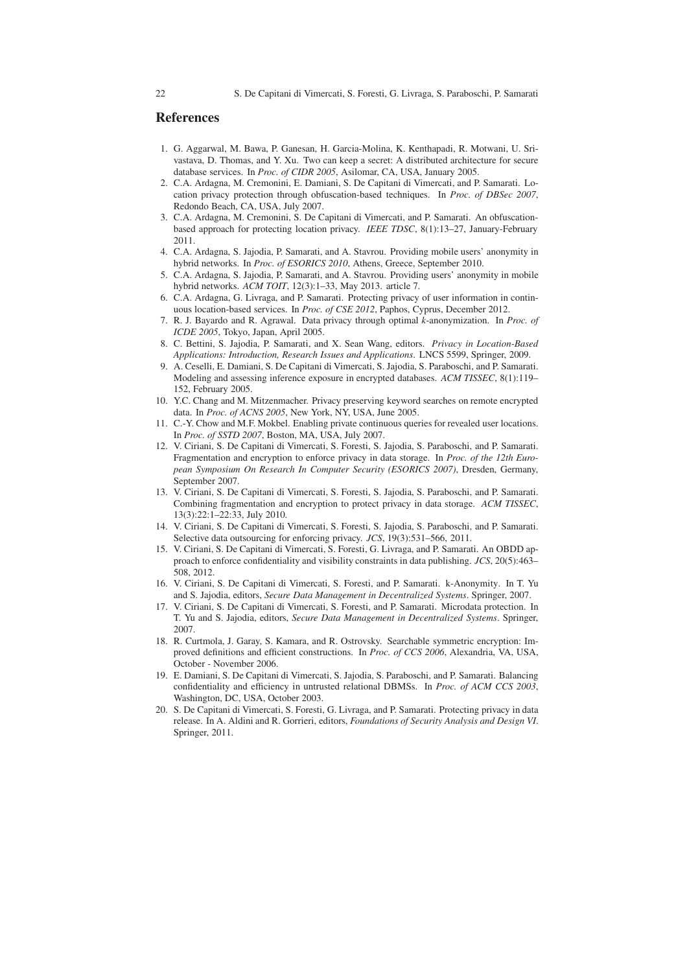#### References

- 1. G. Aggarwal, M. Bawa, P. Ganesan, H. Garcia-Molina, K. Kenthapadi, R. Motwani, U. Srivastava, D. Thomas, and Y. Xu. Two can keep a secret: A distributed architecture for secure database services. In *Proc. of CIDR 2005*, Asilomar, CA, USA, January 2005.
- 2. C.A. Ardagna, M. Cremonini, E. Damiani, S. De Capitani di Vimercati, and P. Samarati. Location privacy protection through obfuscation-based techniques. In *Proc. of DBSec 2007*, Redondo Beach, CA, USA, July 2007.
- 3. C.A. Ardagna, M. Cremonini, S. De Capitani di Vimercati, and P. Samarati. An obfuscationbased approach for protecting location privacy. *IEEE TDSC*, 8(1):13–27, January-February 2011.
- 4. C.A. Ardagna, S. Jajodia, P. Samarati, and A. Stavrou. Providing mobile users' anonymity in hybrid networks. In *Proc. of ESORICS 2010*, Athens, Greece, September 2010.
- 5. C.A. Ardagna, S. Jajodia, P. Samarati, and A. Stavrou. Providing users' anonymity in mobile hybrid networks. *ACM TOIT*, 12(3):1–33, May 2013. article 7.
- 6. C.A. Ardagna, G. Livraga, and P. Samarati. Protecting privacy of user information in continuous location-based services. In *Proc. of CSE 2012*, Paphos, Cyprus, December 2012.
- 7. R. J. Bayardo and R. Agrawal. Data privacy through optimal *k*-anonymization. In *Proc. of ICDE 2005*, Tokyo, Japan, April 2005.
- 8. C. Bettini, S. Jajodia, P. Samarati, and X. Sean Wang, editors. *Privacy in Location-Based Applications: Introduction, Research Issues and Applications*. LNCS 5599, Springer, 2009.
- 9. A. Ceselli, E. Damiani, S. De Capitani di Vimercati, S. Jajodia, S. Paraboschi, and P. Samarati. Modeling and assessing inference exposure in encrypted databases. *ACM TISSEC*, 8(1):119– 152, February 2005.
- 10. Y.C. Chang and M. Mitzenmacher. Privacy preserving keyword searches on remote encrypted data. In *Proc. of ACNS 2005*, New York, NY, USA, June 2005.
- 11. C.-Y. Chow and M.F. Mokbel. Enabling private continuous queries for revealed user locations. In *Proc. of SSTD 2007*, Boston, MA, USA, July 2007.
- 12. V. Ciriani, S. De Capitani di Vimercati, S. Foresti, S. Jajodia, S. Paraboschi, and P. Samarati. Fragmentation and encryption to enforce privacy in data storage. In *Proc. of the 12th European Symposium On Research In Computer Security (ESORICS 2007)*, Dresden, Germany, September 2007.
- 13. V. Ciriani, S. De Capitani di Vimercati, S. Foresti, S. Jajodia, S. Paraboschi, and P. Samarati. Combining fragmentation and encryption to protect privacy in data storage. *ACM TISSEC*, 13(3):22:1–22:33, July 2010.
- 14. V. Ciriani, S. De Capitani di Vimercati, S. Foresti, S. Jajodia, S. Paraboschi, and P. Samarati. Selective data outsourcing for enforcing privacy. *JCS*, 19(3):531–566, 2011.
- 15. V. Ciriani, S. De Capitani di Vimercati, S. Foresti, G. Livraga, and P. Samarati. An OBDD approach to enforce confidentiality and visibility constraints in data publishing. *JCS*, 20(5):463– 508, 2012.
- 16. V. Ciriani, S. De Capitani di Vimercati, S. Foresti, and P. Samarati. k-Anonymity. In T. Yu and S. Jajodia, editors, *Secure Data Management in Decentralized Systems*. Springer, 2007.
- 17. V. Ciriani, S. De Capitani di Vimercati, S. Foresti, and P. Samarati. Microdata protection. In T. Yu and S. Jajodia, editors, *Secure Data Management in Decentralized Systems*. Springer, 2007.
- 18. R. Curtmola, J. Garay, S. Kamara, and R. Ostrovsky. Searchable symmetric encryption: Improved definitions and efficient constructions. In *Proc. of CCS 2006*, Alexandria, VA, USA, October - November 2006.
- 19. E. Damiani, S. De Capitani di Vimercati, S. Jajodia, S. Paraboschi, and P. Samarati. Balancing confidentiality and efficiency in untrusted relational DBMSs. In *Proc. of ACM CCS 2003*, Washington, DC, USA, October 2003.
- 20. S. De Capitani di Vimercati, S. Foresti, G. Livraga, and P. Samarati. Protecting privacy in data release. In A. Aldini and R. Gorrieri, editors, *Foundations of Security Analysis and Design VI*. Springer, 2011.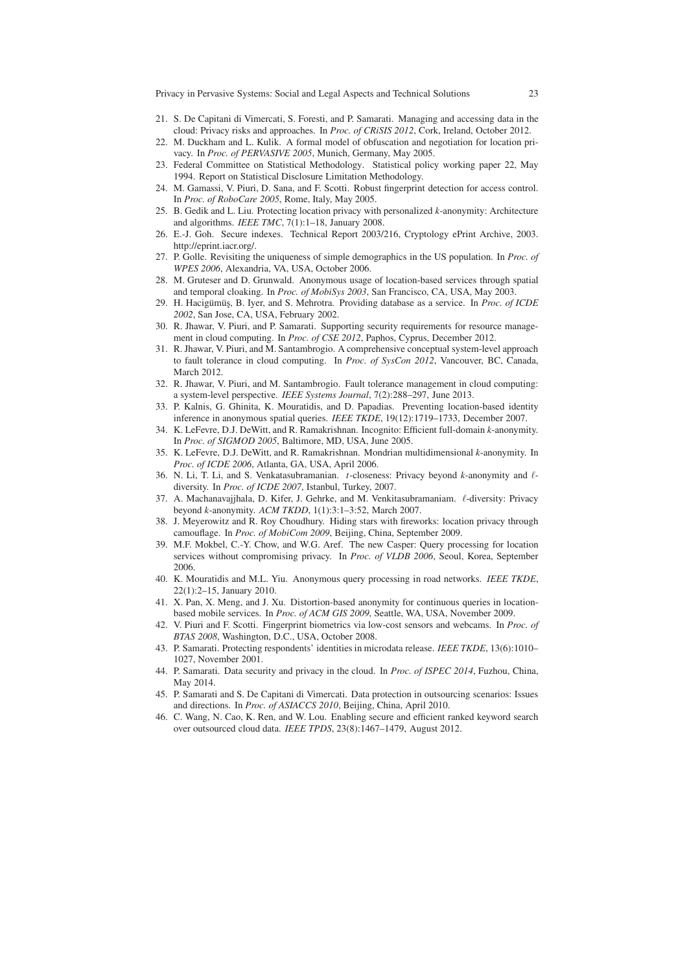- 21. S. De Capitani di Vimercati, S. Foresti, and P. Samarati. Managing and accessing data in the cloud: Privacy risks and approaches. In *Proc. of CRiSIS 2012*, Cork, Ireland, October 2012.
- 22. M. Duckham and L. Kulik. A formal model of obfuscation and negotiation for location privacy. In *Proc. of PERVASIVE 2005*, Munich, Germany, May 2005.
- 23. Federal Committee on Statistical Methodology. Statistical policy working paper 22, May 1994. Report on Statistical Disclosure Limitation Methodology.
- 24. M. Gamassi, V. Piuri, D. Sana, and F. Scotti. Robust fingerprint detection for access control. In *Proc. of RoboCare 2005*, Rome, Italy, May 2005.
- 25. B. Gedik and L. Liu. Protecting location privacy with personalized *k*-anonymity: Architecture and algorithms. *IEEE TMC*, 7(1):1–18, January 2008.
- 26. E.-J. Goh. Secure indexes. Technical Report 2003/216, Cryptology ePrint Archive, 2003. http://eprint.iacr.org/.
- 27. P. Golle. Revisiting the uniqueness of simple demographics in the US population. In *Proc. of WPES 2006*, Alexandria, VA, USA, October 2006.
- 28. M. Gruteser and D. Grunwald. Anonymous usage of location-based services through spatial and temporal cloaking. In *Proc. of MobiSys 2003*, San Francisco, CA, USA, May 2003.
- 29. H. Hacigümüş, B. Iyer, and S. Mehrotra. Providing database as a service. In *Proc. of ICDE 2002*, San Jose, CA, USA, February 2002.
- 30. R. Jhawar, V. Piuri, and P. Samarati. Supporting security requirements for resource management in cloud computing. In *Proc. of CSE 2012*, Paphos, Cyprus, December 2012.
- 31. R. Jhawar, V. Piuri, and M. Santambrogio. A comprehensive conceptual system-level approach to fault tolerance in cloud computing. In *Proc. of SysCon 2012*, Vancouver, BC, Canada, March 2012.
- 32. R. Jhawar, V. Piuri, and M. Santambrogio. Fault tolerance management in cloud computing: a system-level perspective. *IEEE Systems Journal*, 7(2):288–297, June 2013.
- 33. P. Kalnis, G. Ghinita, K. Mouratidis, and D. Papadias. Preventing location-based identity inference in anonymous spatial queries. *IEEE TKDE*, 19(12):1719–1733, December 2007.
- 34. K. LeFevre, D.J. DeWitt, and R. Ramakrishnan. Incognito: Efficient full-domain *k*-anonymity. In *Proc. of SIGMOD 2005*, Baltimore, MD, USA, June 2005.
- 35. K. LeFevre, D.J. DeWitt, and R. Ramakrishnan. Mondrian multidimensional *k*-anonymity. In *Proc. of ICDE 2006*, Atlanta, GA, USA, April 2006.
- 36. N. Li, T. Li, and S. Venkatasubramanian. *t*-closeness: Privacy beyond *k*-anonymity and ℓdiversity. In *Proc. of ICDE 2007*, Istanbul, Turkey, 2007.
- 37. A. Machanavajjhala, D. Kifer, J. Gehrke, and M. Venkitasubramaniam. ℓ-diversity: Privacy beyond *k*-anonymity. *ACM TKDD*, 1(1):3:1–3:52, March 2007.
- 38. J. Meyerowitz and R. Roy Choudhury. Hiding stars with fireworks: location privacy through camouflage. In *Proc. of MobiCom 2009*, Beijing, China, September 2009.
- 39. M.F. Mokbel, C.-Y. Chow, and W.G. Aref. The new Casper: Query processing for location services without compromising privacy. In *Proc. of VLDB 2006*, Seoul, Korea, September 2006.
- 40. K. Mouratidis and M.L. Yiu. Anonymous query processing in road networks. *IEEE TKDE*,  $22(1) \cdot 2 - 15$  January 2010.
- 41. X. Pan, X. Meng, and J. Xu. Distortion-based anonymity for continuous queries in locationbased mobile services. In *Proc. of ACM GIS 2009*, Seattle, WA, USA, November 2009.
- 42. V. Piuri and F. Scotti. Fingerprint biometrics via low-cost sensors and webcams. In *Proc. of BTAS 2008*, Washington, D.C., USA, October 2008.
- 43. P. Samarati. Protecting respondents' identities in microdata release. *IEEE TKDE*, 13(6):1010– 1027, November 2001.
- 44. P. Samarati. Data security and privacy in the cloud. In *Proc. of ISPEC 2014*, Fuzhou, China, May 2014.
- 45. P. Samarati and S. De Capitani di Vimercati. Data protection in outsourcing scenarios: Issues and directions. In *Proc. of ASIACCS 2010*, Beijing, China, April 2010.
- 46. C. Wang, N. Cao, K. Ren, and W. Lou. Enabling secure and efficient ranked keyword search over outsourced cloud data. *IEEE TPDS*, 23(8):1467–1479, August 2012.